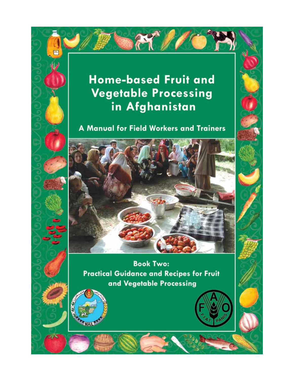# **Home-based Fruit and Vegetable Processing** in Afghanistan

A Manual for Field Workers and Trainers



**Book Two: Practical Guidance and Recipes for Fruit** and Vegetable Processing

MAIL

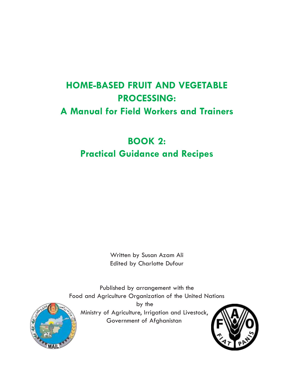# **HOME-BASED FRUIT AND VEGETABLE PROCESSING: A Manual for Field Workers and Trainers**

# **BOOK 2: Practical Guidance and Recipes**

Written by Susan Azam Ali Edited by Charlotte Dufour

Published by arrangement with the Food and Agriculture Organization of the United Nations by the Ministry of Agriculture, Irrigation and Livestock, Government of Afghanistan



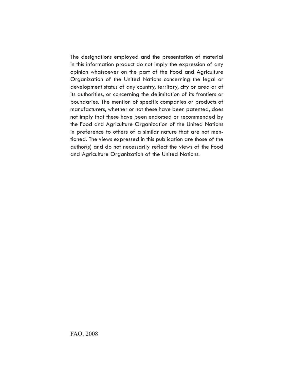The designations employed and the presentation of material in this information product do not imply the expression of any opinion whatsoever on the part of the Food and Agriculture Organization of the United Nations concerning the legal or development status of any country, territory, city or area or of its authorities, or concerning the delimitation of its frontiers or boundaries. The mention of specific companies or products of manufacturers, whether or not these have been patented, does not imply that these have been endorsed or recommended by the Food and Agriculture Organization of the United Nations in preference to others of a similar nature that are not mentioned. The views expressed in this publication are those of the author(s) and do not necessarily reflect the views of the Food and Agriculture Organization of the United Nations.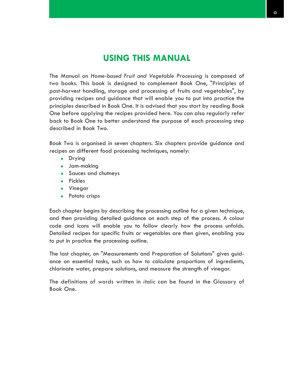# **USING THIS MANUAL**

The Manual on *Home-based Fruit and Vegetable Processing* is composed of two books. This book is designed to complement Book One, "Principles of post-harvest handling, storage and processing of fruits and vegetables", by providing recipes and guidance that will enable you to put into practice the principles described in Book One. It is advised that you start by reading Book One before applying the recipes provided here. You can also regularly refer back to Book One to better understand the purpose of each processing step described in Book Two.

Book Two is organised in seven chapters. Six chapters provide guidance and recipes on different food processing techniques, namely:

- Drying
- $\bullet$  Jam-making
- Sauces and chutneys
- Pickles
- Vinegar
- Potato crisps

Each chapter begins by describing the processing outline for a given technique, and then providing detailed guidance on each step of the process. A colour code and icons will enable you to follow clearly how the process unfolds. Detailed recipes for specific fruits or vegetables are then given, enabling you to put in practice the processing outline.

The last chapter, on "Measurements and Preparation of Solutions" gives guidance on essential tasks, such as how to calculate proportions of ingredients, chlorinate water, prepare solutions, and measure the strength of vinegar.

The definitions of words written in *italic* can be found in the Glossary of Book One.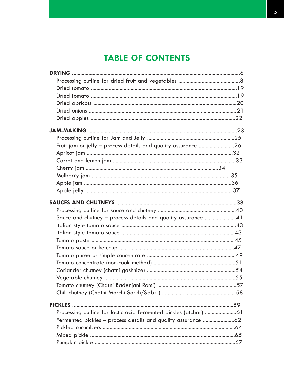# **TABLE OF CONTENTS**

| Fruit jam or jelly - process details and quality assurance 26 |  |
|---------------------------------------------------------------|--|
|                                                               |  |
|                                                               |  |
|                                                               |  |
|                                                               |  |
|                                                               |  |
|                                                               |  |
|                                                               |  |
|                                                               |  |
| Sauce and chutney - process details and quality assurance 41  |  |
|                                                               |  |
|                                                               |  |
|                                                               |  |
|                                                               |  |
|                                                               |  |
|                                                               |  |
|                                                               |  |
|                                                               |  |
|                                                               |  |
|                                                               |  |
|                                                               |  |
|                                                               |  |
|                                                               |  |
|                                                               |  |
|                                                               |  |
|                                                               |  |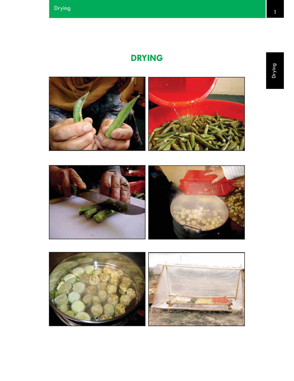# **DRYING**



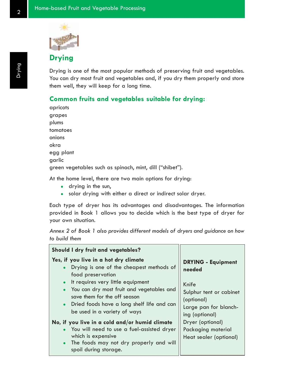

# **Drying**

Drying is one of the most popular methods of preserving fruit and vegetables. You can dry most fruit and vegetables and, if you dry them properly and store them well, they will keep for a long time.

### **Common fruits and vegetables suitable for drying:**

apricots grapes plums tomatoes onions okra egg plant garlic green vegetables such as spinach, mint, dill ("shibet").

At the home level, there are two main options for drying:

- drying in the sun,
- solar drying with either a direct or indirect solar dryer.

Each type of dryer has its advantages and disadvantages. The information provided in Book 1 allows you to decide which is the best type of dryer for your own situation.

*Annex 2 of Book 1 also provides different models of dryers and guidance on how to build them*

| <b>Should I dry fruit and vegetables?</b>                                                                                                                                                                                                                                                                                                                                                                                                                                                                                                                         |                                                                                                                                                                                                      |
|-------------------------------------------------------------------------------------------------------------------------------------------------------------------------------------------------------------------------------------------------------------------------------------------------------------------------------------------------------------------------------------------------------------------------------------------------------------------------------------------------------------------------------------------------------------------|------------------------------------------------------------------------------------------------------------------------------------------------------------------------------------------------------|
| Yes, if you live in a hot dry climate<br>Drying is one of the cheapest methods of<br>$\bullet$<br>food preservation<br>It requires very little equipment<br>$\bullet$<br>You can dry most fruit and vegetables and<br>$\bullet$<br>save them for the off season<br>Dried foods have a long shelf life and can<br>$\bullet$<br>be used in a variety of ways<br>No, if you live in a cold and/or humid climate<br>You will need to use a fuel-assisted dryer<br>which is expensive<br>The foods may not dry properly and will<br>$\bullet$<br>spoil during storage. | <b>DRYING - Equipment</b><br>needed<br>Knife<br>Sulphur tent or cabinet<br>(optional)<br>Large pan for blanch-<br>ing (optional)<br>Dryer (optional)<br>Packaging material<br>Heat sealer (optional) |
|                                                                                                                                                                                                                                                                                                                                                                                                                                                                                                                                                                   |                                                                                                                                                                                                      |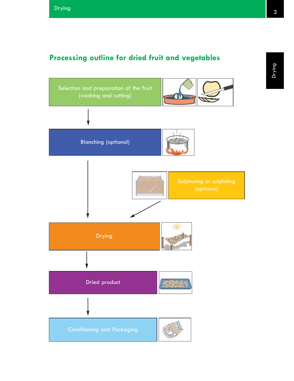# **Processing outline for dried fruit and vegetables**

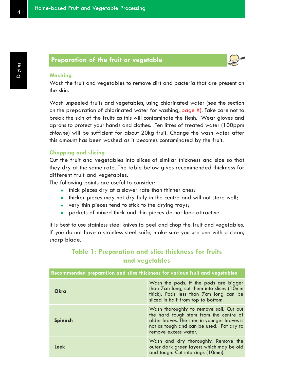# **Preparation of the fruit or vegetable**



### **Washing**

Wash the fruit and vegetables to remove dirt and bacteria that are present on the skin.

Wash unpeeled fruits and vegetables, using chlorinated water (see the section on the preparation of chlorinated water for washing, page X). Take care not to break the skin of the fruits as this will contaminate the flesh. Wear gloves and aprons to protect your hands and clothes. Ten litres of treated water (100ppm *chlorine*) will be sufficient for about 20kg fruit. Change the wash water after this amount has been washed as it becomes contaminated by the fruit.

#### **Chopping and slicing**

Cut the fruit and vegetables into slices of similar thickness and size so that they dry at the same rate. The table below gives recommended thickness for different fruit and vegetables.

The following points are useful to consider:

- thick pieces dry at a slower rate than thinner ones;
- thicker pieces may not dry fully in the centre and will not store well;
- $\bullet$  very thin pieces tend to stick to the drying trays;
- packets of mixed thick and thin pieces do not look attractive.

It is best to use stainless steel knives to peel and chop the fruit and vegetables. If you do not have a stainless steel knife, make sure you use one with a clean, sharp blade.

# **Table 1: Preparation and slice thickness for fruits and vegetables**

| Recommended preparation and slice thickness for various fruit and vegetables |                                                                                                                                                                                                      |  |
|------------------------------------------------------------------------------|------------------------------------------------------------------------------------------------------------------------------------------------------------------------------------------------------|--|
| Okra                                                                         | Wash the pods. If the pods are bigger<br>than 7cm long, cut them into slices (10mm<br>thick). Pods less than 7cm long can be<br>sliced in half from top to bottom.                                   |  |
| Spinach                                                                      | Wash thoroughly to remove soil. Cut out<br>the hard tough stem from the centre of<br>older leaves. The stem in younger leaves is<br>not as tough and can be used. Pat dry to<br>remove excess water. |  |
| Leek                                                                         | Wash and dry thoroughly. Remove the<br>outer dark green layers which may be old<br>and tough. Cut into rings (10mm).                                                                                 |  |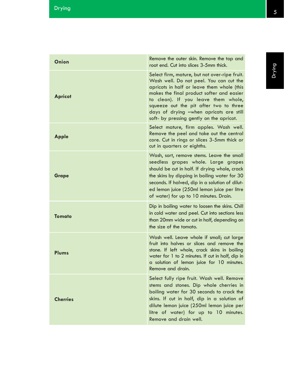| Onion           | Remove the outer skin. Remove the top and<br>root end. Cut into slices 3-5mm thick.                                                                                                                                                                                                                                                                         |
|-----------------|-------------------------------------------------------------------------------------------------------------------------------------------------------------------------------------------------------------------------------------------------------------------------------------------------------------------------------------------------------------|
| <b>Apricot</b>  | Select firm, mature, but not over-ripe fruit.<br>Wash well. Do not peel. You can cut the<br>apricots in half or leave them whole (this<br>makes the final product softer and easier<br>to clean). If you leave them whole,<br>squeeze out the pit after two to three<br>days of drying -when apricots are still<br>soft- by pressing gently on the apricot. |
| <b>Apple</b>    | Select mature, firm apples. Wash well.<br>Remove the peel and take out the central<br>core. Cut in rings or slices 3-5mm thick or<br>cut in quarters or eighths.                                                                                                                                                                                            |
| <b>Grape</b>    | Wash, sort, remove stems. Leave the small<br>seedless grapes whole. Large grapes<br>should be cut in half. If drying whole, crack<br>the skins by dipping in boiling water for 30<br>seconds. If halved, dip in a solution of dilut-<br>ed lemon juice (250ml lemon juice per litre<br>of water) for up to 10 minutes. Drain.                               |
| <b>Tomato</b>   | Dip in boiling water to loosen the skins. Chill<br>in cold water and peel. Cut into sections less<br>than 20mm wide or cut in half, depending on<br>the size of the tomato.                                                                                                                                                                                 |
| Plums           | Wash well. Leave whole if small; cut large<br>fruit into halves or slices and remove the<br>stone. If left whole, crack skins in boiling<br>water for 1 to 2 minutes. If cut in half, dip in<br>a solution of lemon juice for 10 minutes.<br>Remove and drain.                                                                                              |
| <b>Cherries</b> | Select fully ripe fruit. Wash well. Remove<br>stems and stones. Dip whole cherries in<br>boiling water for 30 seconds to crack the<br>skins. If cut in half, dip in a solution of<br>dilute lemon juice (250ml lemon juice per<br>litre of water) for up to 10 minutes.<br>Remove and drain well.                                                           |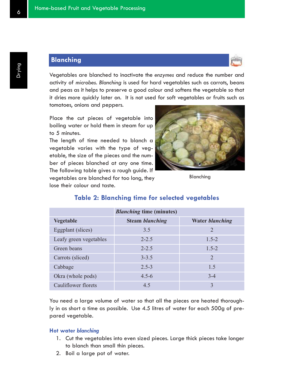## **Blanching**



Vegetables are blanched to inactivate the *enzymes* and reduce the number and activity of *microbes. Blanching* is used for hard vegetables such as carrots, beans and peas as it helps to preserve a good colour and softens the vegetable so that it dries more quickly later on. It is not used for soft vegetables or fruits such as tomatoes, onions and peppers.

Place the cut pieces of vegetable into boiling water or hold them in steam for up to 5 minutes.

The length of time needed to blanch a vegetable varies with the type of vegetable, the size of the pieces and the number of pieces blanched at any one time. The following table gives a rough guide. If vegetables are blanched for too long, they

lose their colour and taste.



Blanching

|                        | <b>Blanching time (minutes)</b> |                        |  |
|------------------------|---------------------------------|------------------------|--|
| <b>Vegetable</b>       | <b>Steam blanching</b>          | <b>Water blanching</b> |  |
| Eggplant (slices)      | 3.5                             | $\overline{2}$         |  |
| Leafy green vegetables | $2 - 2.5$                       | $1.5 - 2$              |  |
| Green beans            | $2 - 2.5$                       | $1.5 - 2$              |  |
| Carrots (sliced)       | $3 - 3.5$                       | 2                      |  |
| Cabbage                | $2.5 - 3$                       | 1.5                    |  |
| Okra (whole pods)      | $4.5 - 6$                       | $3 - 4$                |  |
| Cauliflower florets    | 4.5                             | 3                      |  |

### **Table 2: Blanching time for selected vegetables**

You need a large volume of water so that all the pieces are heated thoroughly in as short a time as possible. Use 4.5 litres of water for each 500g of prepared vegetable.

### **Hot water** *blanching*

- 1. Cut the vegetables into even sized pieces. Large thick pieces take longer to blanch than small thin pieces.
- 2. Boil a large pot of water.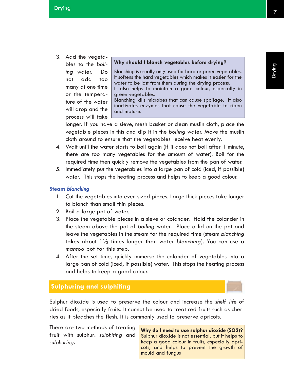3. Add the vegetables to the *boiling* water. Do not add too many at one time or the temperature of the water will drop and the process will take

**Why should I blanch vegetables before drying?**

Blanching is usually only used for hard or green vegetables. It softens the hard vegetables which makes it easier for the water to be lost from them during the drying process. It also helps to maintain a good colour, especially in

green vegetables.

Blanching kills microbes that can cause spoilage. It also inactivates enzymes that cause the vegetable to ripen and mature.

longer. If you have a sieve, mesh basket or clean muslin cloth, place the vegetable pieces in this and dip it in the *boiling* water. Move the muslin cloth around to ensure that the vegetables receive heat evenly.

- 4. Wait until the water starts to boil again (if it does not boil after 1 minute, there are too many vegetables for the amount of water). Boil for the required time then quickly remove the vegetables from the pan of water.
- 5. Immediately put the vegetables into a large pan of cold (iced, if possible) water. This stops the heating process and helps to keep a good colour.

### **Steam** *blanching*

- 1. Cut the vegetables into even sized pieces. Large thick pieces take longer to blanch than small thin pieces.
- 2. Boil a large pot of water.
- 3. Place the vegetable pieces in a sieve or colander. Hold the colander in the steam above the pot of *boiling* water. Place a lid on the pot and leave the vegetables in the steam for the required time (steam *blanching* takes about 1½ times longer than water *blanching*). You can use a *mantoo* pot for this step.
- 4. After the set time, quickly immerse the colander of vegetables into a large pan of cold (iced, if possible) water. This stops the heating process and helps to keep a good colour.

# **Sulphuring and sulphiting**

Sulphur dioxide is used to preserve the colour and increase the *shelf life* of dried foods, especially fruits. It cannot be used to treat red fruits such as cherries as it bleaches the flesh. It is commonly used to preserve apricots.

There are two methods of treating fruit with sulphur: *sulphiting* and *sulphuring*.

**Why do I need to use sulphur dioxide (SO2)?** Sulphur dioxide is not essential, but it helps to keep a good colour in fruits, especially apricots, and helps to prevent the growth of mould and fungus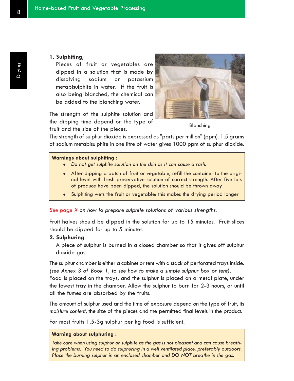#### **1. Sulphiting**,

Pieces of fruit or vegetables are dipped in a solution that is made by dissolving sodium or potassium metabisulphite in water. If the fruit is also being blanched, the chemical can be added to the blanching water.

The strength of the sulphite solution and the dipping time depend on the type of fruit and the size of the pieces.



Blanching

The strength of sulphur dioxide is expressed as "parts per million" (ppm). 1.5 grams of sodium metabisulphite in one litre of water gives 1000 ppm of sulphur dioxide.

#### **Warnings about sulphiting :**

- <sup>z</sup> *Do not get sulphite solution on the skin as it can cause a rash.*
- After dipping a batch of fruit or vegetable, refill the container to the original level with fresh preservative solution of correct strength. After five lots of produce have been dipped, the solution should be thrown away
- Sulphiting wets the fruit or vegetable: this makes the drying period longer

*See page X on how to prepare sulphite solutions of various strengths.*

Fruit halves should be dipped in the solution for up to 15 minutes. Fruit slices should be dipped for up to 5 minutes.

### **2. Sulphuring**

A piece of sulphur is burned in a closed chamber so that it gives off sulphur dioxide gas.

The sulphur chamber is either a cabinet or tent with a stack of perforated trays inside. *(see Annex 3 of Book 1, to see how to make a simple sulphur box or tent).* Food is placed on the trays, and the sulphur is placed on a metal plate, under the lowest tray in the chamber. Allow the sulphur to burn for 2-3 hours, or until all the fumes are absorbed by the fruits.

The amount of sulphur used and the time of exposure depend on the type of fruit, its *moisture content*, the size of the pieces and the permitted final levels in the product.

For most fruits 1.5-3g sulphur per kg food is sufficient.

#### **Warning about sulphuring :**

*Take care when using sulphur or sulphite as the gas is not pleasant and can cause breathing problems. You need to do sulphuring in a well ventilated place, preferably outdoors. Place the burning sulphur in an enclosed chamber and DO NOT breathe in the gas.*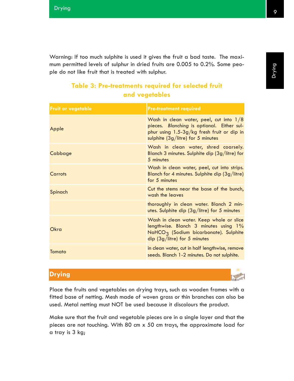Warning: If too much sulphite is used it gives the fruit a bad taste. The maximum permitted levels of sulphur in dried fruits are 0.005 to 0.2%. Some people do not like fruit that is treated with sulphur.

# **Table 3: Pre-treatments required for selected fruit and vegetables**

| <b>Fruit or vegetable</b> | <b>Pre-treatment required</b>                                                                                                                                                  |
|---------------------------|--------------------------------------------------------------------------------------------------------------------------------------------------------------------------------|
| Apple                     | Wash in clean water, peel, cut into $1/8$<br>pieces. Blanching is optional. Either sul-<br>phur using $1.5-3g/kg$ fresh fruit or dip in<br>sulphite $(3g/litre)$ for 5 minutes |
| Cabbage                   | Wash in clean water, shred coarsely.<br>Blanch 3 minutes. Sulphite dip (3g/litre) for<br>5 minutes                                                                             |
| Carrots                   | Wash in clean water, peel, cut into strips.<br>Blanch for 4 minutes. Sulphite dip (3g/litre)<br>for 5 minutes                                                                  |
| Spinach                   | Cut the stems near the base of the bunch,<br>wash the leaves                                                                                                                   |
|                           | thoroughly in clean water. Blanch 2 min-<br>utes. Sulphite dip $(3g/litre)$ for 5 minutes                                                                                      |
| Okra                      | Wash in clean water. Keep whole or slice<br>lengthwise. Blanch 3 minutes using 1%<br>NaHCO <sub>3</sub> (Sodium bicarbonate). Sulphite<br>dip $(3g/litre)$ for 5 minutes       |
| Tomato                    | in clean water, cut in half lengthwise, remove<br>seeds. Blanch 1-2 minutes. Do not sulphite.                                                                                  |

# **Drying**

Place the fruits and vegetables on drying trays, such as wooden frames with a fitted base of netting. Mesh made of woven grass or thin branches can also be used. Metal netting must NOT be used because it discolours the product.

Make sure that the fruit and vegetable pieces are in a single layer and that the pieces are not touching. With 80 cm x 50 cm trays, the approximate load for a tray is 3 kg;

Drying

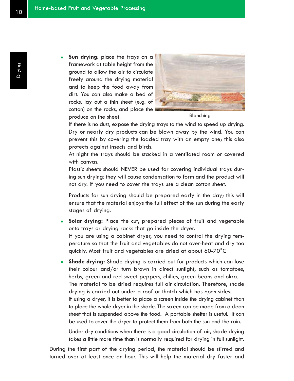**Sun drying:** place the trays on a framework at table height from the ground to allow the air to circulate freely around the drying material and to keep the food away from dirt. You can also make a bed of rocks, lay out a thin sheet (e.g. of cotton) on the rocks, and place the produce on the sheet.



Blanching

If there is no dust, expose the drying trays to the wind to speed up drying. Dry or nearly dry products can be blown away by the wind. You can prevent this by covering the loaded tray with an empty one; this also protects against insects and birds.

At night the trays should be stacked in a ventilated room or covered with canvas.

Plastic sheets should NEVER be used for covering individual trays during sun drying: they will cause condensation to form and the product will not dry. If you need to cover the trays use a clean cotton sheet.

Products for sun drying should be prepared early in the day; this will ensure that the material enjoys the full effect of the sun during the early stages of drying.

- Solar drying: Place the cut, prepared pieces of fruit and vegetable onto trays or drying racks that go inside the dryer. If you are using a cabinet dryer, you need to control the drying temperature so that the fruit and vegetables do not over-heat and dry too quickly. Most fruit and vegetables are dried at about 60-70°C
- **Shade drying:** Shade drying is carried out for products which can lose their colour and/or turn brown in direct sunlight, such as tomatoes, herbs, green and red sweet peppers, chilies, green beans and okra. The material to be dried requires full air circulation. Therefore, shade drying is carried out under a roof or thatch which has *open* sides. If using a dryer, it is better to place a screen inside the drying cabinet than to place the whole dryer in the shade. The screen can be made from a clean sheet that is suspended above the food. A portable shelter is useful. It can be used to cover the dryer to protect them from both the sun and the rain.

Under dry conditions when there is a good circulation of air, shade drying takes a little more time than is normally required for drying in full sunlight.

During the first part of the drying period, the material should be stirred and turned over at least once an hour. This will help the material dry faster and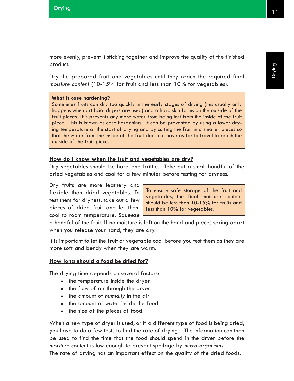Drying

more evenly, prevent it sticking together and improve the quality of the finished product.

Dry the prepared fruit and vegetables until they reach the required final *moisture content* (10-15% for fruit and less than 10% for vegetables).

### **What is case hardening?**

Sometimes fruits can dry too quickly in the early stages of drying (this usually only happens when artificial dryers are used) and a hard skin forms on the outside of the fruit pieces. This prevents any more water from being lost from the inside of the fruit piece. This is known as case hardening. It can be prevented by using a lower drying temperature at the start of drying and by cutting the fruit into smaller pieces so that the water from the inside of the fruit does not have as far to travel to reach the outside of the fruit piece.

### **How do I know when the fruit and vegetables are dry?**

Dry vegetables should be hard and brittle. Take out a small handful of the dried vegetables and cool for a few minutes before testing for dryness.

Dry fruits are more leathery and flexible than dried vegetables. To test them for dryness, take out a few pieces of dried fruit and let them cool to room temperature. Squeeze

To ensure safe storage of the fruit and vegetables, the final moisture content should be less than 10-15% for fruits and less than 10% for vegetables.

a handful of the fruit. If no moisture is left on the hand and pieces spring apart when you release your hand, they are dry.

It is important to let the fruit or vegetable cool before you test them as they are more soft and bendy when they are warm.

### **How long should a food be dried for?**

The drying time depends on several factors:

- the temperature inside the dryer
- the flow of air through the dryer
- the amount of *humidity* in the air
- the amount of water inside the food
- the size of the pieces of food.

When a new type of dryer is used, or if a different type of food is being dried, you have to do a few tests to find the rate of drying. The information can then be used to find the time that the food should spend in the dryer before the *moisture content* is low enough to prevent spoilage by *micro-organisms*. The rate of drying has an important effect on the quality of the dried foods.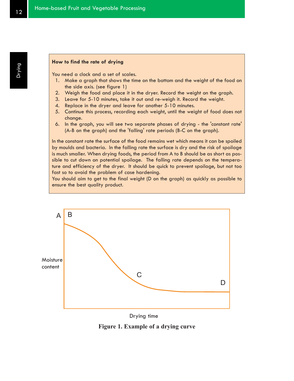### **How to find the rate of drying**

You need a clock and a set of scales.

- 1. Make a graph that shows the time on the bottom and the weight of the food on the side axis. (see figure 1)
- 2. Weigh the food and place it in the dryer. Record the weight on the graph.
- 3. Leave for 5-10 minutes, take it out and re-weigh it. Record the weight.
- 4. Replace in the dryer and leave for another 5-10 minutes.
- 5. Continue this process, recording each weight, until the weight of food does not change.
- 6. In the graph, you will see two separate phases of drying the 'constant rate' (A-B on the graph) and the 'falling' rate periods (B-C on the graph).

In the constant rate the surface of the food remains wet which means it can be spoiled by moulds and bacteria. In the falling rate the surface is dry and the risk of spoilage is much smaller. When drying foods, the period from A to B should be as short as possible to cut down on potential spoilage. The falling rate depends on the temperature and efficiency of the dryer. It should be quick to prevent spoilage, but not too fast so to avoid the problem of case hardening.

You should aim to get to the final weight (D on the graph) as quickly as possible to ensure the best quality product.



Drying time

**Figure 1. Example of a drying curve**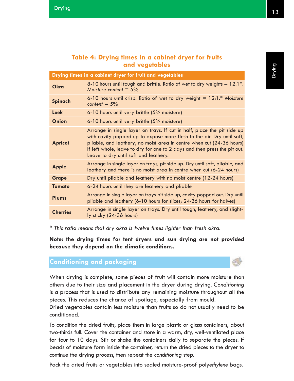# **Table 4: Drying times in a cabinet dryer for fruits and vegetables**

| Drying times in a cabinet dryer for fruit and vegetables |                                                                                                                                                                                                                                                                                                                                                  |  |
|----------------------------------------------------------|--------------------------------------------------------------------------------------------------------------------------------------------------------------------------------------------------------------------------------------------------------------------------------------------------------------------------------------------------|--|
| Okra                                                     | 8-10 hours until tough and brittle. Ratio of wet to dry weights $= 12.1$ <sup>*</sup> .<br>Moisture content = $5\%$                                                                                                                                                                                                                              |  |
| <b>Spinach</b>                                           | 6-10 hours until crisp. Ratio of wet to dry weight $= 12:1.*$ Moisture<br>content = $5\%$                                                                                                                                                                                                                                                        |  |
| Leek                                                     | 6-10 hours until very brittle (5% moisture)                                                                                                                                                                                                                                                                                                      |  |
| Onion                                                    | 6-10 hours until very brittle (5% moisture)                                                                                                                                                                                                                                                                                                      |  |
| <b>Apricot</b>                                           | Arrange in single layer on trays. If cut in half, place the pit side up<br>with cavity popped up to expose more flesh to the air. Dry until soft,<br>pliable, and leathery; no moist area in centre when cut (24-36 hours)<br>If left whole, leave to dry for one to 2 days and then press the pit out.<br>Leave to dry until soft and leathery. |  |
| <b>Apple</b>                                             | Arrange in single layer on trays, pit side up. Dry until soft, pliable, and<br>leathery and there is no moist area in centre when cut (6-24 hours)                                                                                                                                                                                               |  |
| <b>Grape</b>                                             | Dry until pliable and leathery with no moist centre (12-24 hours)                                                                                                                                                                                                                                                                                |  |
| <b>Tomato</b>                                            | 6-24 hours until they are leathery and pliable                                                                                                                                                                                                                                                                                                   |  |
| Plums                                                    | Arrange in single layer on trays pit side up, cavity popped out. Dry until<br>pliable and leathery (6-10 hours for slices; 24-36 hours for halves)                                                                                                                                                                                               |  |
| <b>Cherries</b>                                          | Arrange in single layer on trays. Dry until tough, leathery, and slight-<br>ly sticky (24-36 hours)                                                                                                                                                                                                                                              |  |

*\* This ratio means that dry okra is twelve times lighter than fresh okra.*

**Note: the drying times for tent dryers and sun drying are not provided because they depend on the climatic conditions.**

# **Conditioning and packaging**

When drying is complete, some pieces of fruit will contain more moisture than others due to their size and placement in the dryer during drying. *Conditioning* is a process that is used to distribute any remaining moisture throughout all the pieces. This reduces the chance of spoilage, especially from mould.

Dried vegetables contain less moisture than fruits so do not usually need to be conditioned.

To condition the dried fruits, place them in large plastic or glass containers, about two-thirds full. Cover the container and store in a warm, dry, well-ventilated place for four to 10 days. Stir or shake the containers daily to separate the pieces. If beads of moisture form inside the container, return the dried pieces to the dryer to continue the drying process, then repeat the *conditioning* step.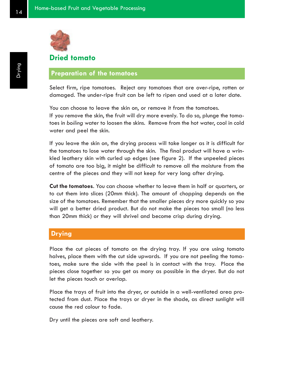

# **Dried tomato**

## **Preparation of the tomatoes**

Select firm, ripe tomatoes. Reject any tomatoes that are over-ripe, rotten or damaged. The under-ripe fruit can be left to ripen and used at a later date.

You can choose to leave the skin on, or remove it from the tomatoes. If you remove the skin, the fruit will dry more evenly. To do so, plunge the tomatoes in *boiling* water to loosen the skins. Remove from the hot water, cool in cold water and peel the skin.

If you leave the skin on, the drying process will take longer as it is difficult for the tomatoes to lose water through the skin. The final product will have a wrinkled leathery skin with curled up edges (see figure 2). If the unpeeled pieces of tomato are too big, it might be difficult to remove all the moisture from the centre of the pieces and they will not keep for very long after drying.

**Cut the tomatoes**. You can choose whether to leave them in half or quarters, or to cut them into slices (20mm thick). The amount of chopping depends on the size of the tomatoes. Remember that the smaller pieces dry more quickly so you will get a better dried product. But do not make the pieces too small (no less than 20mm thick) or they will shrivel and become crisp during drying.

### **Drying**

Place the cut pieces of tomato on the drying tray. If you are using tomato halves, place them with the cut side upwards. If you are not peeling the tomatoes, make sure the side with the peel is in contact with the tray. Place the pieces close together so you get as many as possible in the dryer. But do not let the pieces touch or overlap.

Place the trays of fruit into the dryer, or outside in a well-ventilated area protected from dust. Place the trays or dryer in the shade, as direct sunlight will cause the red colour to fade.

Dry until the pieces are soft and leathery.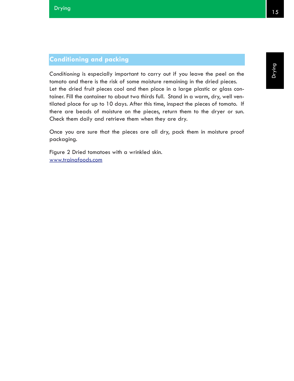*Conditioning* is especially important to carry out if you leave the peel on the tomato and there is the risk of some moisture remaining in the dried pieces. Let the dried fruit pieces cool and then place in a large plastic or glass container. Fill the container to about two thirds full. Stand in a warm, dry, well ventilated place for up to 10 days. After this time, inspect the pieces of tomato. If there are beads of moisture on the pieces, return them to the dryer or sun. Check them daily and retrieve them when they are dry.

Once you are sure that the pieces are all dry, pack them in moisture proof packaging.

Figure 2 Dried tomatoes with a wrinkled skin. www.trainafoods.com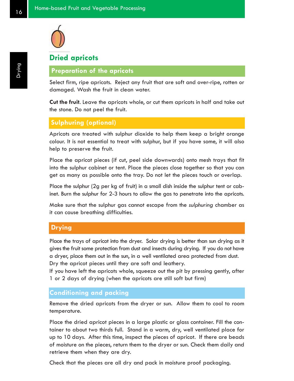

# **Dried apricots**

# **Preparation of the apricots**

Select firm, ripe apricots. Reject any fruit that are soft and over-ripe, rotten or damaged. Wash the fruit in clean water.

**Cut the fruit**. Leave the apricots whole, or cut them apricots in half and take out the stone. Do not peel the fruit.

### **Sulphuring (optional)**

Apricots are treated with sulphur dioxide to help them keep a bright orange colour. It is not essential to treat with sulphur, but if you have some, it will also help to preserve the fruit.

Place the apricot pieces (if cut, peel side downwards) onto mesh trays that fit into the sulphur cabinet or tent. Place the pieces close together so that you can get as many as possible onto the tray. Do not let the pieces touch or overlap.

Place the sulphur (2g per kg of fruit) in a small dish inside the sulphur tent or cabinet. Burn the sulphur for 2-3 hours to allow the gas to penetrate into the apricots.

Make sure that the sulphur gas cannot escape from the *sulphuring* chamber as it can cause breathing difficulties.

## **Drying**

Place the trays of apricot into the dryer. Solar drying is better than sun drying as it gives the fruit some protection from dust and insects during drying. If you do not have a dryer, place them out in the sun, in a well ventilated area protected from dust. Dry the apricot pieces until they are soft and leathery.

If you have left the apricots whole, squeeze out the pit by pressing gently, after 1 or 2 days of drying (when the apricots are still soft but firm)

### **Conditioning and packing**

Remove the dried apricots from the dryer or sun. Allow them to cool to room temperature.

Place the dried apricot pieces in a large plastic or glass container. Fill the container to about two thirds full. Stand in a warm, dry, well ventilated place for up to 10 days. After this time, inspect the pieces of apricot. If there are beads of moisture on the pieces, return them to the dryer or sun. Check them daily and retrieve them when they are dry.

Check that the pieces are all dry and pack in moisture proof packaging.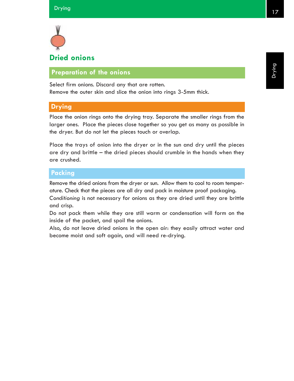

# **Preparation of the onions**

Select firm onions. Discard any that are rotten. Remove the outer skin and slice the onion into rings 3-5mm thick.

## **Drying**

Place the onion rings onto the drying tray. Separate the smaller rings from the larger ones. Place the pieces close together so you get as many as possible in the dryer. But do not let the pieces touch or overlap.

Place the trays of onion into the dryer or in the sun and dry until the pieces are dry and brittle – the dried pieces should crumble in the hands when they are crushed.

# **Packing**

Remove the dried onions from the dryer or sun. Allow them to cool to room temperature. Check that the pieces are all dry and pack in moisture proof packaging.

*Conditioning* is not necessary for onions as they are dried until they are brittle and crisp.

Do not pack them while they are still warm or condensation will form on the inside of the packet, and spoil the onions.

Also, do not leave dried onions in the open air: they easily attract water and become moist and soft again, and will need re-drying.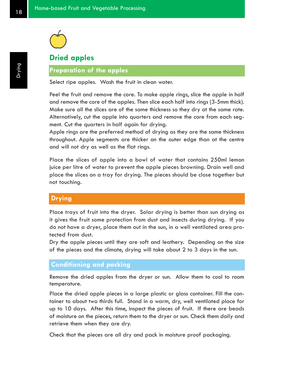

# **Dried apples**

# **Preparation of the apples**

Select ripe apples. Wash the fruit in clean water.

Peel the fruit and remove the core. To make apple rings, slice the apple in half and remove the core of the apples. Then slice each half into rings (3-5mm thick). Make sure all the slices are of the same thickness so they dry at the same rate. Alternatively, cut the apple into quarters and remove the core from each segment. Cut the quarters in half again for drying.

Apple rings are the preferred method of drying as they are the same thickness throughout. Apple segments are thicker on the outer edge than at the centre and will not dry as well as the flat rings.

Place the slices of apple into a bowl of water that contains 250ml lemon juice per litre of water to prevent the apple pieces browning. Drain well and place the slices on a tray for drying. The pieces should be close together but not touching.

### **Drying**

Place trays of fruit into the dryer. Solar drying is better than sun drying as it gives the fruit some protection from dust and insects during drying. If you do not have a dryer, place them out in the sun, in a well ventilated area protected from dust.

Dry the apple pieces until they are soft and leathery. Depending on the size of the pieces and the climate, drying will take about 2 to 3 days in the sun.

### **Conditioning and packing**

Remove the dried apples from the dryer or sun. Allow them to cool to room temperature.

Place the dried apple pieces in a large plastic or glass container. Fill the container to about two thirds full. Stand in a warm, dry, well ventilated place for up to 10 days. After this time, inspect the pieces of fruit. If there are beads of moisture on the pieces, return them to the dryer or sun. Check them daily and retrieve them when they are dry.

Check that the pieces are all dry and pack in moisture proof packaging.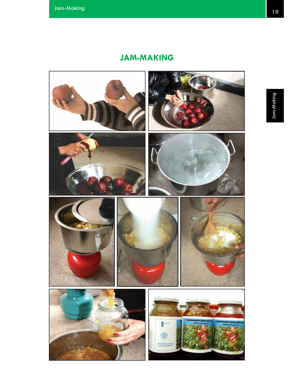# **JAM-MAKING**

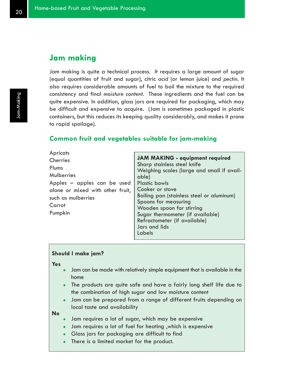# **Jam making**

Jam making is quite a technical process. It requires a large amount of sugar (equal quantities of fruit and sugar), citric *acid* (or lemon juice) and *pectin*. It also requires considerable amounts of fuel to boil the mixture to the required consistency and final *moisture content*. These ingredients and the fuel can be quite expensive. In addition, glass jars are required for packaging, which may be difficult and expensive to acquire. (Jam is sometimes packaged in plastic containers, but this reduces its keeping quality considerably, and makes it prone to rapid spoilage).

### **Common fruit and vegetables suitable for jam-making**

**Apricots Cherries** Plums Mulberries Apples – apples can be used alone or mixed with other fruit, such as mulberries Carrot Pumpkin

**JAM MAKING - equipment required** Sharp stainless steel knife Weighing scales (large and small if available) Plastic bowls Cooker or stove Boiling pan (stainless steel or aluminum) Spoons for measuring Wooden spoon for stirring Sugar thermometer (if available) Refractometer (if available) Jars and lids Labels

#### **Should I make jam?**

**Yes**

- Jam can be made with relatively simple equipment that is available in the home
- The products are quite safe and have a fairly long shelf life due to the combination of high sugar and low moisture content
- Jam can be prepared from a range of different fruits depending on local taste and availability

**No**

- Jam requires a lot of sugar, which may be expensive
- Jam requires a lot of fuel for heating , which is expensive
- $\bullet$  Glass jars for packaging are difficult to find
- There is a limited market for the product.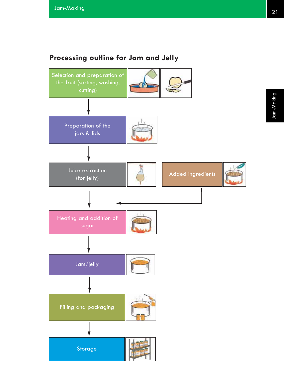# **Processing outline for Jam and Jelly**

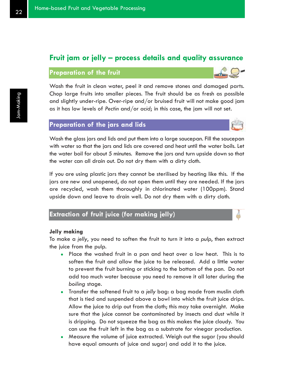# **Fruit jam or jelly – process details and quality assurance**

### **Preparation of the fruit**

Wash the fruit in clean water, peel it and remove stones and damaged parts. Chop large fruits into smaller pieces. The fruit should be as fresh as possible and slightly under-ripe. Over-ripe and/or bruised fruit will not make good jam as it has low levels of *Pectin* and/or *acid*; in this case, the jam will not set.

### **Preparation of the jars and lids**

Wash the glass jars and lids and put them into a large saucepan. Fill the saucepan with water so that the jars and lids are covered and heat until the water boils. Let the water boil for about 5 minutes. Remove the jars and turn upside down so that the water can all drain out. Do not dry them with a dirty cloth.

If you are using plastic jars they cannot be sterilised by heating like this. If the jars are new and unopened, do not open them until they are needed. If the jars are recycled, wash them thoroughly in chlorinated water (100ppm). Stand upside down and leave to drain well. Do not dry them with a dirty cloth.

# **Extraction of fruit juice (for making jelly)**

#### **Jelly making**

To make a *jelly*, you need to soften the fruit to turn it into a *pulp*, then extract the juice from the pulp.

- Place the washed fruit in a pan and heat over a low heat. This is to soften the fruit and allow the juice to be released. Add a little water to prevent the fruit burning or sticking to the bottom of the pan. Do not add too much water because you need to remove it all later during the *boiling* stage.
- Transfer the softened fruit to a *jelly* bag: a bag made from muslin cloth that is tied and suspended above a bowl into which the fruit juice drips. Allow the juice to drip out from the cloth; this may take overnight. Make sure that the juice cannot be contaminated by insects and dust while it is dripping. Do not squeeze the bag as this makes the juice cloudy. You can use the fruit left in the bag as a substrate for vinegar production.
- Measure the volume of juice extracted. Weigh out the sugar (you should have equal amounts of juice and sugar) and add it to the juice.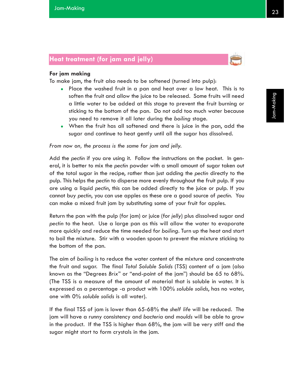# **Heat treatment (for jam and jelly)**



### **For jam making**

To make jam, the fruit also needs to be softened (turned into pulp):

- Place the washed fruit in a pan and heat over a low heat. This is to soften the fruit and allow the juice to be released. Some fruits will need a little water to be added at this stage to prevent the fruit burning or sticking to the bottom of the pan. Do not add too much water because you need to remove it all later during the *boiling* stage.
- When the fruit has all softened and there is juice in the pan, add the sugar and continue to heat gently until all the sugar has dissolved.

*From now on, the process is the same for jam and jelly.*

Add the *pectin* if you are using it. Follow the instructions on the packet. In general, it is better to mix the *pectin* powder with a small amount of sugar taken out of the total sugar in the recipe, rather than just adding the *pectin* directly to the pulp. This helps the *pectin* to disperse more evenly throughout the fruit pulp. If you are using a liquid *pectin*, this can be added directly to the juice or pulp. If you cannot buy *pectin*, you can use apples as these are a good source of *pectin*. You can make a mixed fruit jam by substituting some of your fruit for apples.

Return the pan with the pulp (for jam) or juice (for *jelly*) plus dissolved sugar and *pectin* to the heat. Use a large pan as this will allow the water to evaporate more quickly and reduce the time needed for *boiling*. Turn up the heat and start to boil the mixture. Stir with a wooden spoon to prevent the mixture sticking to the bottom of the pan.

The aim of *boiling* is to reduce the water content of the mixture and concentrate the fruit and sugar. The final *Total Soluble Solids* (TSS) content of a jam (also known as the "Degrees *Brix*" or "end-point of the jam") should be 65 to 68%. (The TSS is a measure of the amount of material that is soluble in water. It is expressed as a percentage -a product with 100% *soluble solids*, has no water, one with 0% *soluble solids* is all water).

If the final TSS of jam is lower than 65-68% the *shelf life* will be reduced. The jam will have a runny consistency and *bacteria* and *moulds* will be able to grow in the product. If the TSS is higher than 68%, the jam will be very stiff and the sugar might start to form crystals in the jam.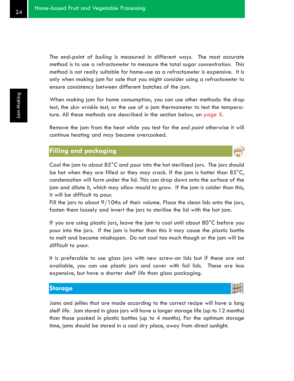The end-point of *boiling* is measured in different ways. The most accurate method is to use a *refractometer* to measure the total sugar *concentration*. This method is not really suitable for home-use as a *refractometer* is expensive. It is only when making jam for sale that you might consider using a *refractometer* to ensure consistency between different batches of the jam.

When making jam for home consumption, you can use other methods: the *drop test*, the *skin wrinkle test*, or the use of a jam thermometer to test the temperature. All these methods are described in the section below, on page X.

Remove the jam from the heat while you test for the *end point* otherwise it will continue heating and may become overcooked.

### **Filling and packaging**

Cool the jam to about  $85^{\circ}$ C and pour into the hot sterilised jars. The jars should be hot when they are filled or they may crack. If the jam is hotter than  $85^{\circ}$ C, condensation will form under the lid. This can drop down onto the surface of the jam and dilute it, which may allow mould to grow. If the jam is colder than this, it will be difficult to pour.

Fill the jars to about 9/10ths of their volume. Place the clean lids onto the jars, fasten them loosely and invert the jars to sterilise the lid with the hot jam.

If you are using plastic jars, leave the jam to cool until about 80°C before you pour into the jars. If the jam is hotter than this it may cause the plastic bottle to melt and become misshapen. Do not cool too much though or the jam will be difficult to pour.

It is preferable to use glass jars with new screw-on lids but if these are not available, you can use plastic jars and cover with foil lids. These are less expensive, but have a shorter *shelf life* than glass packaging.

### **Storage**

Jams and jellies that are made according to the correct recipe will have a long *shelf life*. Jam stored in glass jars will have a longer storage life (up to 12 months) than those packed in plastic bottles (up to 4 months). For the optimum storage time, jams should be stored in a cool dry place, away from direct sunlight.

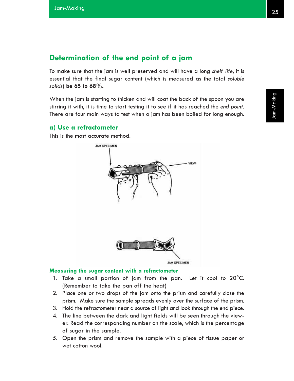# **Determination of the end point of a jam**

To make sure that the jam is well preserved and will have a long *shelf life*, it is essential that the final sugar content (which is measured as the total *soluble solids*) **be 65 to 68%.**

When the jam is starting to thicken and will coat the back of the spoon you are stirring it with, it is time to start testing it to see if it has reached the *end point*. There are four main ways to test when a jam has been boiled for long enough.

### **a) Use a refractometer**

This is the most accurate method.



#### **Measuring the sugar content with a refractometer**

- 1. Take a small portion of jam from the pan. Let it cool to 20°C. (Remember to take the pan off the heat)
- 2. Place one or two drops of the jam onto the prism and carefully close the prism. Make sure the sample spreads evenly over the surface of the prism.
- 3. Hold the refractometer near a source of light and look through the end piece.
- 4. The line between the dark and light fields will be seen through the viewer. Read the corresponding number on the scale, which is the percentage of sugar in the sample.
- 5. Open the prism and remove the sample with a piece of tissue paper or wet cotton wool.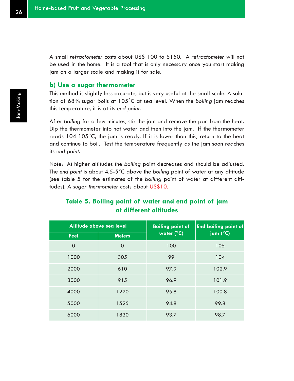A small *refractometer* costs about US\$ 100 to \$150. A *refractometer* will not be used in the home. It is a tool that is only necessary once you start making jam on a larger scale and making it for sale.

### **b) Use a sugar thermometer**

This method is slightly less accurate, but is very useful at the small-scale. A solution of 68% sugar boils at 105°C at sea level. When the *boiling* jam reaches this temperature, it is at its *end point*.

After *boiling* for a few minutes, stir the jam and remove the pan from the heat. Dip the thermometer into hot water and then into the jam. If the thermometer reads 104-105°C, the jam is ready. If it is lower than this, return to the heat and continue to boil. Test the temperature frequently as the jam soon reaches its *end point*.

Note: At higher altitudes the *boiling* point decreases and should be adjusted. The *end point* is about 4.5-5°C above the *boiling* point of water at any altitude (see table 5 for the estimates of the *boiling* point of water at different altitudes). A *sugar thermometer* costs about US\$10.

# **Table 5. Boiling point of water and end point of jam at different altitudes**

| Altitude above sea level |               | <b>Boiling point of</b> | <b>End boiling point of</b> |
|--------------------------|---------------|-------------------------|-----------------------------|
| Feet                     | <b>Meters</b> | water (°C)              | jam (°C)                    |
| $\overline{0}$           | $\Omega$      | 100                     | 105                         |
| 1000                     | 305           | 99                      | 104                         |
| 2000                     | 610           | 97.9                    | 102.9                       |
| 3000                     | 915           | 96.9                    | 101.9                       |
| 4000                     | 1220          | 95.8                    | 100.8                       |
| 5000                     | 1525          | 94.8                    | 99.8                        |
| 6000                     | 1830          | 93.7                    | 98.7                        |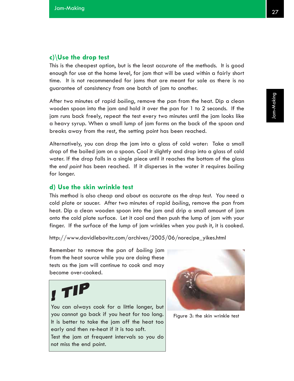# **c)\Use the drop test**

This is the cheapest option, but is the least accurate of the methods. It is good enough for use at the home level, for jam that will be used within a fairly short time. It is not recommended for jams that are meant for sale as there is no guarantee of consistency from one batch of jam to another.

After two minutes of rapid *boiling*, remove the pan from the heat. Dip a clean wooden spoon into the jam and hold it over the pan for 1 to 2 seconds. If the jam runs back freely, repeat the test every two minutes until the jam looks like a heavy syrup. When a small lump of jam forms on the back of the spoon and breaks away from the rest, the setting point has been reached.

Alternatively, you can drop the jam into a glass of cold water: Take a small drop of the boiled jam on a spoon. Cool it slightly and drop into a glass of cold water. If the drop falls in a single piece until it reaches the bottom of the glass the *end point* has been reached. If it disperses in the water it requires *boiling* for longer.

### **d) Use the skin wrinkle test**

This method is also cheap and about as accurate as the *drop test*. You need a cold plate or saucer. After two minutes of rapid *boiling*, remove the pan from heat. Dip a clean wooden spoon into the jam and drip a small amount of jam onto the cold plate surface. Let it cool and then push the lump of jam with your finger. If the surface of the lump of jam wrinkles when you push it, it is cooked.

http://www.davidlebovitz.com/archives/2005/06/norecipe\_yikes.html

Remember to remove the pan of *boiling* jam from the heat source while you are doing these tests as the jam will continue to cook and may become over-cooked.



You can always cook for a little longer, but you cannot go back if you heat for too long. It is better to take the jam off the heat too early and then re-heat if it is too soft. Test the jam at frequent intervals so you do not miss the end point.



Figure 3: the skin wrinkle test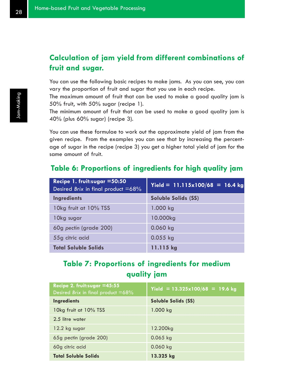# **Calculation of jam yield from different combinations of fruit and sugar.**

You can use the following basic recipes to make jams. As you can see, you can vary the proportion of fruit and sugar that you use in each recipe.

The maximum amount of fruit that can be used to make a good quality jam is 50% fruit, with 50% sugar (recipe 1).

The minimum amount of fruit that can be used to make a good quality jam is 40% (plus 60% sugar) (recipe 3).

You can use these formulae to work out the approximate yield of jam from the given recipe. From the examples you can see that by increasing the percentage of sugar in the recipe (recipe 3) you get a higher total yield of jam for the same amount of fruit.

# **Table 6: Proportions of ingredients for high quality jam**

| Recipe 1. fruit: sugar $=50:50$<br>Desired Brix in final product =68% | $Yield = 11.115 \times 100/68 = 16.4 kg$ |
|-----------------------------------------------------------------------|------------------------------------------|
| <b>Ingredients</b>                                                    | Soluble Solids (SS)                      |
| 10kg fruit at 10% TSS                                                 | 1.000 kg                                 |
| 10kg sugar                                                            | 10.000kg                                 |
| 60g pectin (grade 200)                                                | 0.060 kg                                 |
| 55g citric acid                                                       | $0.055$ kg                               |
| <b>Total Soluble Solids</b>                                           | 11.115 kg                                |

# **Table 7: Proportions of ingredients for medium quality jam**

| Recipe 2. fruit:sugar =45:55<br>Desired Brix in final product =68% | $Yield = 13.325 \times 100/68 = 19.6$ kg |
|--------------------------------------------------------------------|------------------------------------------|
| <b>Ingredients</b>                                                 | Soluble Solids (SS)                      |
| 10kg fruit at 10% TSS                                              | 1.000 kg                                 |
| 2.5 litre water                                                    |                                          |
| 12.2 kg sugar                                                      | 12.200kg                                 |
| 65g pectin (grade 200)                                             | $0.065$ kg                               |
| 60g citric acid                                                    | 0.060 kg                                 |
| <b>Total Soluble Solids</b>                                        | 13.325 kg                                |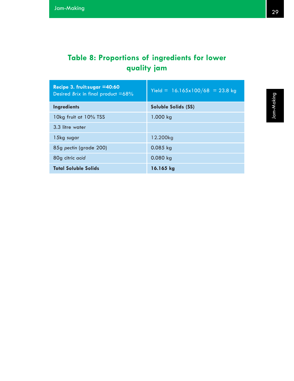# **Table 8: Proportions of ingredients for lower quality jam**

| Recipe 3. fruit:sugar $=40:60$<br>Desired <i>Brix</i> in final product $=68\%$ | $Yield = 16.165 \times 100/68 = 23.8$ kg |
|--------------------------------------------------------------------------------|------------------------------------------|
| <b>Ingredients</b>                                                             | Soluble Solids (SS)                      |
| 10kg fruit at 10% TSS                                                          | 1.000 kg                                 |
| 3.3 litre water                                                                |                                          |
| 15kg sugar                                                                     | 12.200kg                                 |
| 85g pectin (grade 200)                                                         | $0.085$ kg                               |
| 80g citric acid                                                                | $0.080$ kg                               |
| <b>Total Soluble Solids</b>                                                    | 16.165 kg                                |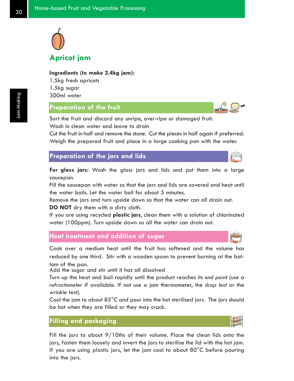

# **Ingredients (to make 2.4kg jam):**

1.5kg fresh apricots 1.5kg sugar 300ml water

#### **Preparation of the fruit**

Sort the fruit and discard any unripe, over-ripe or damaged fruit.

Wash in clean water and leave to drain

Cut the fruit in half and remove the stone. Cut the pieces in half again if preferred. Weigh the prepared fruit and place in a large cooking pan with the water.

**Preparation of the jars and lids**

**For glass jars:** Wash the glass jars and lids and put them into a large saucepan.

Fill the saucepan with water so that the jars and lids are covered and heat until the water boils. Let the water boil for about 5 minutes.

Remove the jars and turn upside down so that the water can all drain out.

**DO NOT** dry them with a dirty cloth.

If you are using recycled **plastic jars**, clean them with a solution of chlorinated water (100ppm). Turn upside down so all the water can drain out.

## **Heat treatment and addition of sugar**

Cook over a medium heat until the fruit has softened and the volume has reduced by one third. Stir with a wooden spoon to prevent burning at the bottom of the pan.

Add the sugar and stir until it has all dissolved

Turn up the heat and boil rapidly until the product reaches its *end point* (use a *refractometer* if available. If not use a jam thermometer, the *drop test* or the wrinkle test).

Cool the jam to about  $85^{\circ}$ C and pour into the hot sterilised jars. The jars should be hot when they are filled or they may crack.

#### **Filling and packaging**

Fill the jars to about 9/10ths of their volume. Place the clean lids onto the jars, fasten them loosely and invert the jars to sterilise the lid with the hot jam. If you are using plastic jars, let the jam cool to about 80°C before pouring into the jars.



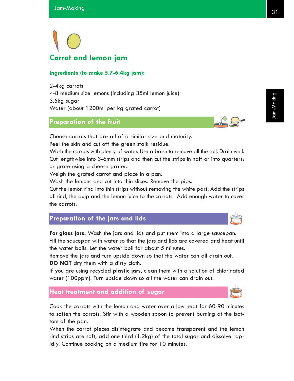

#### **Ingredients (to make 5.7-6.4kg jam):**

2-4kg carrots 4-8 medium size lemons (including 35ml lemon juice) 3.5kg sugar Water (about 1200ml per kg grated carrot)

#### **Preparation of the fruit**

Choose carrots that are all of a similar size and maturity.

Peel the skin and cut off the green stalk residue.

Wash the carrots with plenty of water. Use a brush to remove all the soil. Drain well. Cut lengthwise into 3-6mm strips and then cut the strips in half or into quarters; or grate using a cheese grater.

Weigh the grated carrot and place in a pan.

Wash the lemons and cut into thin slices. Remove the pips.

Cut the lemon rind into thin strips without removing the white part. Add the strips of rind, the pulp and the lemon juice to the carrots. Add enough water to cover the carrots.

## **Preparation of the jars and lids**

**For glass jars:** Wash the jars and lids and put them into a large saucepan. Fill the saucepan with water so that the jars and lids are covered and heat until the water boils. Let the water boil for about 5 minutes.

Remove the jars and turn upside down so that the water can all drain out. **DO NOT** dry them with a dirty cloth.

If you are using recycled **plastic jars**, clean them with a solution of chlorinated water (100ppm). Turn upside down so all the water can drain out.

### **Heat treatment and addition of sugar**

Cook the carrots with the lemon and water over a low heat for 60-90 minutes to soften the carrots. Stir with a wooden spoon to prevent burning at the bottom of the pan.

When the carrot pieces disintegrate and become transparent and the lemon rind strips are soft, add one third (1.2kg) of the total sugar and dissolve rapidly. Continue cooking on a medium fire for 10 minutes.





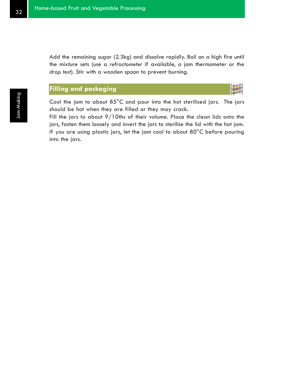Add the remaining sugar (2.3kg) and dissolve rapidly. Boil on a high fire until the mixture sets (use a *refractometer* if available, a jam thermometer or the *drop test*). Stir with a wooden spoon to prevent burning.

## **Filling and packaging**



Cool the jam to about 85°C and pour into the hot sterilised jars. The jars should be hot when they are filled or they may crack.

Fill the jars to about 9/10ths of their volume. Place the clean lids onto the jars, fasten them loosely and invert the jars to sterilise the lid with the hot jam. If you are using plastic jars, let the jam cool to about 80°C before pouring into the jars.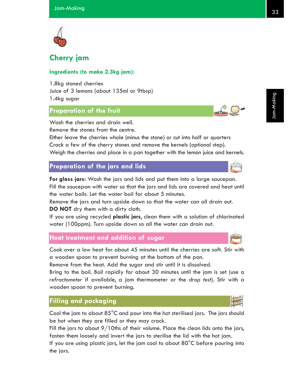

## **Cherry jam**

#### **Ingredients (to make 2.3kg jam):**

1.8kg stoned cherries Juice of 3 lemons (about 135ml or 9tbsp) 1.4kg sugar

## **Preparation of the fruit**

Wash the cherries and drain well. Remove the stones from the centre.

Either leave the cherries whole (minus the stone) or cut into half or quarters Crack a few of the cherry stones and remove the kernels (optional step). Weigh the cherries and place in a pan together with the lemon juice and kernels.

#### **Preparation of the jars and lids**

**For glass jars:** Wash the jars and lids and put them into a large saucepan. Fill the saucepan with water so that the jars and lids are covered and heat until the water boils. Let the water boil for about 5 minutes.

Remove the jars and turn upside down so that the water can all drain out. **DO NOT** dry them with a dirty cloth.

If you are using recycled **plastic jars**, clean them with a solution of chlorinated water (100ppm). Turn upside down so all the water can drain out.

## **Heat treatment and addition of sugar**

Cook over a low heat for about 45 minutes until the cherries are soft. Stir with a wooden spoon to prevent burning at the bottom of the pan.

Remove from the heat. Add the sugar and stir until it is dissolved.

Bring to the boil. Boil rapidly for about 30 minutes until the jam is set (use a *refractometer* if available, a jam thermometer or the *drop test*). Stir with a wooden spoon to prevent burning.

#### **Filling and packaging**

Cool the jam to about 85°C and pour into the hot sterilised jars. The jars should be hot when they are filled or they may crack.

Fill the jars to about 9/10ths of their volume. Place the clean lids onto the jars, fasten them loosely and invert the jars to sterilise the lid with the hot jam.

If you are using plastic jars, let the jam cool to about 80°C before pouring into the jars.



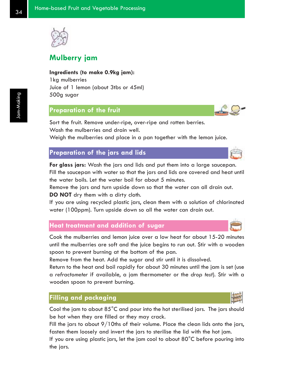

## **Mulberry jam**

**Ingredients (to make 0.9kg jam):**

1kg mulberries Juice of 1 lemon (about 3tbs or 45ml) 500g sugar

## **Preparation of the fruit**

Sort the fruit. Remove under-ripe, over-ripe and rotten berries. Wash the mulberries and drain well.

Weigh the mulberries and place in a pan together with the lemon juice.

#### **Preparation of the jars and lids**

**For glass jars:** Wash the jars and lids and put them into a large saucepan. Fill the saucepan with water so that the jars and lids are covered and heat until the water boils. Let the water boil for about 5 minutes.

Remove the jars and turn upside down so that the water can all drain out. **DO NOT** dry them with a dirty cloth.

If you are using recycled plastic jars, clean them with a solution of chlorinated water (100ppm). Turn upside down so all the water can drain out.

#### **Heat treatment and addition of sugar**

Cook the mulberries and lemon juice over a low heat for about 15-20 minutes until the mulberries are soft and the juice begins to run out. Stir with a wooden spoon to prevent burning at the bottom of the pan.

Remove from the heat. Add the sugar and stir until it is dissolved.

Return to the heat and boil rapidly for about 30 minutes until the jam is set (use a *refractometer* if available, a jam thermometer or the *drop test*). Stir with a wooden spoon to prevent burning.

#### **Filling and packaging**

Cool the jam to about 85°C and pour into the hot sterilised jars. The jars should be hot when they are filled or they may crack.

Fill the jars to about 9/10ths of their volume. Place the clean lids onto the jars, fasten them loosely and invert the jars to sterilise the lid with the hot jam.

If you are using plastic jars, let the jam cool to about  $80^{\circ}$ C before pouring into the jars.



Jam-Making

Jam-Making



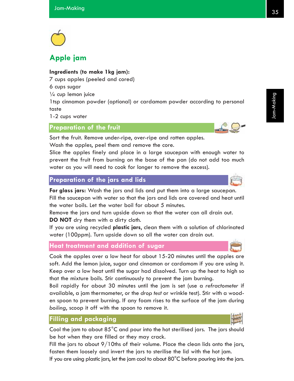

## **Apple jam**

#### **Ingredients (to make 1kg jam):**

7 cups apples (peeled and cored)

6 cups sugar

 $\frac{1}{4}$  cup lemon juice

1tsp cinnamon powder (optional) or cardamom powder according to personal taste

1-2 cups water

#### **Preparation of the fruit**

Sort the fruit. Remove under-ripe, over-ripe and rotten apples. Wash the apples, peel them and remove the core.

Slice the apples finely and place in a large saucepan with enough water to prevent the fruit from burning on the base of the pan (do not add too much water as you will need to cook for longer to remove the excess).

#### **Preparation of the jars and lids**

**For glass jars:** Wash the jars and lids and put them into a large saucepan. Fill the saucepan with water so that the jars and lids are covered and heat until the water boils. Let the water boil for about 5 minutes.

Remove the jars and turn upside down so that the water can all drain out. **DO NOT** dry them with a dirty cloth.

If you are using recycled **plastic jars**, clean them with a solution of chlorinated water (100ppm). Turn upside down so all the water can drain out.

#### **Heat treatment and addition of sugar**

Cook the apples over a low heat for about 15-20 minutes until the apples are soft. Add the lemon juice, sugar and cinnamon or cardamom if you are using it. Keep over a low heat until the sugar had dissolved. Turn up the heat to high so that the mixture boils. Stir continuously to prevent the jam burning.

Boil rapidly for about 30 minutes until the jam is set (use a *refractometer* if available, a jam thermometer, or the *drop test* or wrinkle test). Stir with a wooden spoon to prevent burning. If any foam rises to the surface of the jam during *boiling*, scoop it off with the spoon to remove it.

#### **Filling and packaging**

Cool the jam to about  $85^{\circ}$ C and pour into the hot sterilised jars. The jars should be hot when they are filled or they may crack.

Fill the jars to about 9/10ths of their volume. Place the clean lids onto the jars, fasten them loosely and invert the jars to sterilise the lid with the hot jam.

If you are using plastic jars, let the jam cool to about 80°C before pouring into the jars.



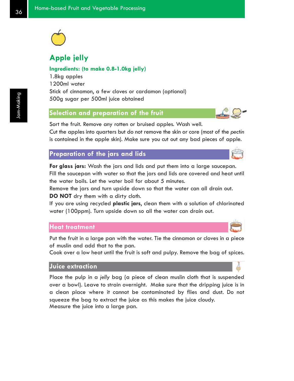

## **Apple jelly**

#### **Ingredients: (to make 0.8-1.0kg jelly)**

1.8kg apples 1200ml water Stick of cinnamon, a few cloves or cardamon (optional) 500g sugar per 500ml juice obtained

#### **Selection and preparation of the fruit**

Sort the fruit. Remove any rotten or bruised apples. Wash well.

Cut the apples into quarters but do not remove the skin or core (most of the *pectin* is contained in the apple skin). Make sure you cut out any bad pieces of apple.

## **Preparation of the jars and lids**

**For glass jars:** Wash the jars and lids and put them into a large saucepan. Fill the saucepan with water so that the jars and lids are covered and heat until the water boils. Let the water boil for about 5 minutes.

Remove the jars and turn upside down so that the water can all drain out. **DO NOT** dry them with a dirty cloth.

If you are using recycled **plastic jars**, clean them with a solution of chlorinated water (100ppm). Turn upside down so all the water can drain out.

#### **Heat treatment**

Put the fruit in a large pan with the water. Tie the cinnamon or cloves in a piece of muslin and add that to the pan.

Cook over a low heat until the fruit is soft and pulpy. Remove the bag of spices.

#### **Juice extraction**

Place the pulp in a *jelly* bag (a piece of clean muslin cloth that is suspended over a bowl). Leave to strain overnight. Make sure that the dripping juice is in a clean place where it cannot be contaminated by flies and dust. Do not squeeze the bag to extract the juice as this makes the juice cloudy. Measure the juice into a large pan.





Jam-Making

Jam-Making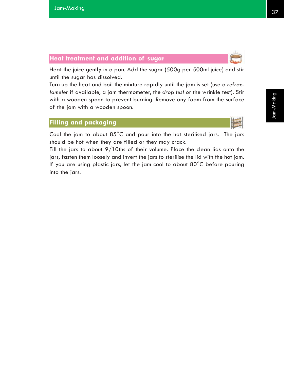

#### **Heat treatment and addition of sugar**

Heat the juice gently in a pan. Add the sugar (500g per 500ml juice) and stir until the sugar has dissolved.

Turn up the heat and boil the mixture rapidly until the jam is set (use a *refractometer* if available, a jam thermometer, the *drop test* or the wrinkle test). Stir with a wooden spoon to prevent burning. Remove any foam from the surface of the jam with a wooden spoon.

## **Filling and packaging**

Cool the jam to about 85°C and pour into the hot sterilised jars. The jars should be hot when they are filled or they may crack.

Fill the jars to about 9/10ths of their volume. Place the clean lids onto the jars, fasten them loosely and invert the jars to sterilise the lid with the hot jam. If you are using plastic jars, let the jam cool to about 80°C before pouring into the jars.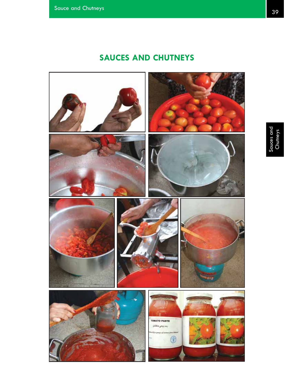# **SAUCES AND CHUTNEYS**

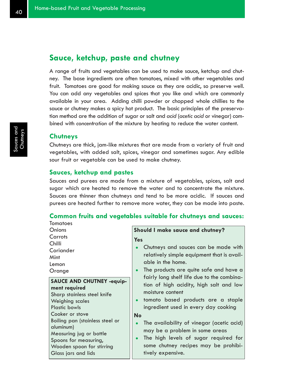## **Sauce, ketchup, paste and chutney**

A range of fruits and vegetables can be used to make sauce, ketchup and chutney. The base ingredients are often tomatoes, mixed with other vegetables and fruit. Tomatoes are good for making sauce as they are acidic, so preserve well. You can add any vegetables and spices that you like and which are commonly available in your area. Adding chilli powder or chopped whole chillies to the sauce or chutney makes a spicy hot product. The basic principles of the preservation method are the addition of sugar or salt and *acid* (*acetic acid* or vinegar) combined with *concentration* of the mixture by heating to reduce the water content.

#### **Chutneys**

Tomatoes

Chutneys are thick, jam-like mixtures that are made from a variety of fruit and vegetables, with added salt, spices, vinegar and sometimes sugar. Any edible sour fruit or vegetable can be used to make chutney.

#### **Sauces, ketchup and pastes**

Sauces and purees are made from a mixture of vegetables, spices, salt and sugar which are heated to remove the water and to concentrate the mixture. Sauces are thinner than chutneys and tend to be more acidic. If sauces and purees are heated further to remove more water, they can be made into paste.

#### **Common fruits and vegetables suitable for chutneys and sauces:**

| Onions                                                                                                                                                                                          | Should I make sauce and chutney?                                                                                                                                                                                                                                                                                                             |  |
|-------------------------------------------------------------------------------------------------------------------------------------------------------------------------------------------------|----------------------------------------------------------------------------------------------------------------------------------------------------------------------------------------------------------------------------------------------------------------------------------------------------------------------------------------------|--|
| Carrots<br>Chilli<br>Coriander<br>Mint<br>Lemon<br>Orange<br><b>SAUCE AND CHUTNEY -equip-</b><br>ment required<br>Sharp stainless steel knife<br><b>Weighing scales</b>                         | <b>Yes</b><br>Chutneys and sauces can be made with<br>relatively simple equipment that is avail-<br>able in the home.<br>The products are quite safe and have a<br>$\bullet$<br>fairly long shelf life due to the combina-<br>tion of high acidity, high salt and low<br>moisture content<br>tomato based products are a staple<br>$\bullet$ |  |
| <b>Plastic bowls</b><br>Cooker or stove<br>Boiling pan (stainless steel or<br>aluminum)<br>Measuring jug or bottle<br>Spoons for measuring,<br>Wooden spoon for stirring<br>Glass jars and lids | ingredient used in every day cooking<br><b>No</b><br>The availability of vinegar (acetic acid)<br>$\bullet$<br>may be a problem in some areas<br>The high levels of sugar required for<br>$\bullet$<br>some chutney recipes may be prohibi-<br>tively expensive.                                                                             |  |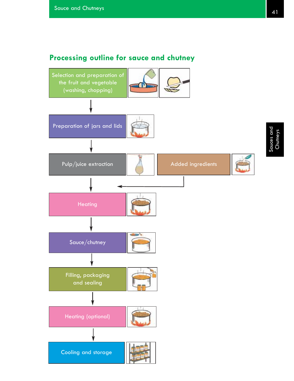## **Processing outline for sauce and chutney**

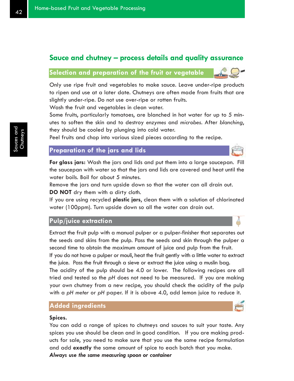## **Sauce and chutney – process details and quality assurance**

## **Selection and preparation of the fruit or vegetable**

Only use ripe fruit and vegetables to make sauce. Leave under-ripe products to ripen and use at a later date. Chutneys are often made from fruits that are slightly under-ripe. Do not use over-ripe or rotten fruits.

Wash the fruit and vegetables in clean water.

Some fruits, particularly tomatoes, are blanched in hot water for up to 5 minutes to soften the skin and to destroy *enzymes* and *microbes*. After *blanching*, they should be cooled by plunging into cold water.

Peel fruits and chop into various sized pieces according to the recipe.

#### **Preparation of the jars and lids**

**For glass jars:** Wash the jars and lids and put them into a large saucepan. Fill the saucepan with water so that the jars and lids are covered and heat until the water boils. Boil for about 5 minutes.

Remove the jars and turn upside down so that the water can all drain out. **DO NOT** dry them with a dirty cloth.

If you are using recycled **plastic jars**, clean them with a solution of chlorinated water (100ppm). Turn upside down so all the water can drain out.

#### **Pulp/juice extraction**

Extract the fruit pulp with a manual pulper or a pulper-finisher that separates out the seeds and skins from the pulp. Pass the seeds and skin through the pulper a second time to obtain the maximum amount of juice and pulp from the fruit.

If you do not have a pulper or mouli, heat the fruit gently with a little water to extract the juice. Pass the fruit through a sieve or extract the juice using a muslin bag.

The acidity of the pulp should be 4.0 or lower. The following recipes are all tried and tested so the *pH* does not need to be measured. If you are making your own chutney from a new recipe, you should check the acidity of the pulp with a *pH meter* or *pH* paper. If it is above 4.0, add lemon juice to reduce it.

#### **Added ingredients**

#### **Spices.**

You can add a range of spices to chutneys and sauces to suit your taste. Any spices you use should be clean and in good condition. If you are making products for sale, you need to make sure that you use the same recipe formulation and add **exactly** the same amount of spice to each batch that you make. *Always use the same measuring spoon or container*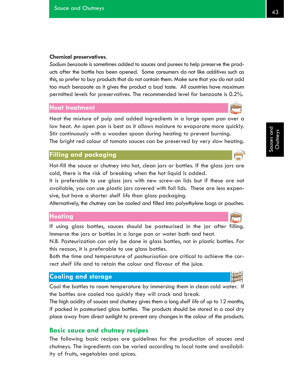#### **Chemical preservatives**.

*Sodium benzoate* is sometimes added to sauces and purees to help preserve the products after the bottle has been opened. Some consumers do not like *additives* such as this, so prefer to buy products that do not contain them. Make sure that you do not add too much benzoate as it gives the product a bad taste. All countries have maximum permitted levels for preservatives. The recommended level for benzoate is 0.2%.

#### **Heat treatment**

Heat the mixture of pulp and added ingredients in a large open pan over a low heat. An open pan is best as it allows moisture to evaporate more quickly. Stir continuously with a wooden spoon during heating to prevent burning.

The bright red colour of tomato sauces can be preserved by very slow heating.

#### **Filling and packaging**

Hot-fill the sauce or chutney into hot, clean jars or bottles. If the glass jars are cold, there is the risk of breaking when the hot liquid is added.

It is preferable to use glass jars with new screw-on lids but if these are not available, you can use plastic jars covered with foil lids. These are less expensive, but have a shorter *shelf life* than glass packaging.

Alternatively, the chutney can be cooled and filled into poly*ethylene* bags or pouches.

#### **Heating**

If using glass bottles, sauces should be pasteurised in the jar after filling. Immerse the jars or bottles in a large pan or water bath and heat.

N.B. Pasteurization can only be done in glass bottles, not in plastic bottles. For this reason, it is preferable to use glass bottles.

Both the time and temperature of *pasteurisation* are critical to achieve the correct *shelf life* and to retain the colour and flavour of the juice.

#### **Cooling and storage**

Cool the bottles to room temperature by immersing them in clean cold water. If the bottles are cooled too quickly they will crack and break.

The high acidity of sauces and chutney gives them a long *shelf life* of up to 12 months, if packed in pasteurised glass bottles. The products should be stored in a cool dry place away from direct sunlight to prevent any changes in the colour of the products.

#### **Basic sauce and chutney recipes**

The following basic recipes are guidelines for the production of sauces and chutneys. The ingredients can be varied according to local taste and availability of fruits, vegetables and spices.



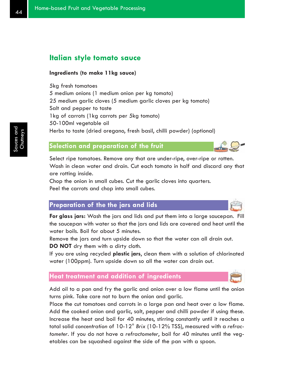## **Italian style tomato sauce**

#### **Ingredients (to make 11kg sauce)**

5kg fresh tomatoes 5 medium onions (1 medium onion per kg tomato) 25 medium garlic cloves (5 medium garlic cloves per kg tomato) Salt and pepper to taste 1kg of carrots (1kg carrots per 5kg tomato) 50-100ml vegetable oil Herbs to taste (dried oregano, fresh basil, chilli powder) (optional)

## **Selection and preparation of the fruit**

Select ripe tomatoes. Remove any that are under-ripe, over-ripe or rotten. Wash in clean water and drain. Cut each tomato in half and discard any that are rotting inside.

Chop the onion in small cubes. Cut the garlic cloves into quarters. Peel the carrots and chop into small cubes.

## **Preparation of the the jars and lids**

**For glass jars:** Wash the jars and lids and put them into a large saucepan. Fill the saucepan with water so that the jars and lids are covered and heat until the water boils. Boil for about 5 minutes.

Remove the jars and turn upside down so that the water can all drain out. **DO NOT** dry them with a dirty cloth.

If you are using recycled **plastic jars**, clean them with a solution of chlorinated water (100ppm). Turn upside down so all the water can drain out.

## **Heat treatment and addition of ingredients**

Add oil to a pan and fry the garlic and onion over a low flame until the onion turns pink. Take care not to burn the onion and garlic.

Place the cut tomatoes and carrots in a large pan and heat over a low flame. Add the cooked onion and garlic, salt, pepper and chilli powder if using these. Increase the heat and boil for 40 minutes, stirring constantly until it reaches a total solid *concentration* of 10-12° *Brix* (10-12% TSS), measured with a *refractometer*. If you do not have a *refractometer*, boil for 40 minutes until the vegetables can be squashed against the side of the pan with a spoon.



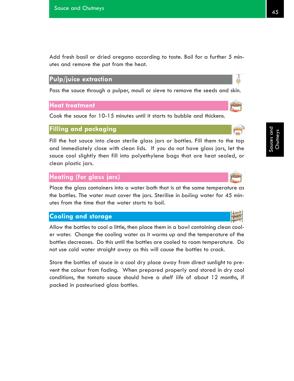Add fresh basil or dried oregano according to taste. Boil for a further 5 minutes and remove the pot from the heat.

### **Pulp/juice extraction**

Pass the sauce through a pulper, mouli or sieve to remove the seeds and skin.

#### **Heat treatment**

Cook the sauce for 10-15 minutes until it starts to bubble and thickens.

#### **Filling and packaging**

Fill the hot sauce into clean sterile glass jars or bottles. Fill them to the top and immediately close with clean lids. If you do not have glass jars, let the sauce cool slightly then fill into polyethylene bags that are heat sealed, or clean plastic jars.

#### **Heating (for glass jars)**

Place the glass containers into a water bath that is at the same temperature as the bottles. The water must cover the jars. Sterilise in *boiling* water for 45 minutes from the time that the water starts to boil.

## **Cooling and storage**

Allow the bottles to cool a little, then place them in a bowl containing clean cooler water. Change the cooling water as it warms up and the temperature of the bottles decreases. Do this until the bottles are cooled to room temperature. Do not use cold water straight away as this will cause the bottles to crack.

Store the bottles of sauce in a cool dry place away from direct sunlight to prevent the colour from fading. When prepared properly and stored in dry cool conditions, the tomato sauce should have a *shelf life* of about 12 months, if packed in pasteurised glass bottles.



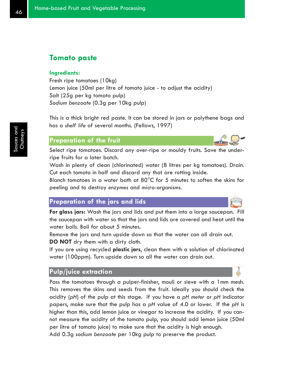## **Tomato paste**

#### **Ingredients:**

Fresh ripe tomatoes (10kg) Lemon juice (50ml per litre of tomato juice - to adjust the acidity) Salt (25g per kg tomato pulp) *Sodium benzoate* (0.3g per 10kg pulp)

This is a thick bright red paste. It can be stored in jars or polythene bags and has a *shelf life* of several months. (Fellows, 1997)

## **Preparation of the fruit**

Select ripe tomatoes. Discard any over-ripe or mouldy fruits. Save the underripe fruits for a later batch.

Wash in plenty of clean (chlorinated) water (8 litres per kg tomatoes). Drain. Cut each tomato in half and discard any that are rotting inside.

Blanch tomatoes in a water bath at 80°C for 5 minutes to soften the skins for peeling and to destroy *enzymes* and *micro-organisms*.

## **Preparation of the jars and lids**

**For glass jars:** Wash the jars and lids and put them into a large saucepan. Fill the saucepan with water so that the jars and lids are covered and heat until the water boils. Boil for about 5 minutes.

Remove the jars and turn upside down so that the water can all drain out. **DO NOT** dry them with a dirty cloth.

If you are using recycled **plastic jars**, clean them with a solution of chlorinated water (100ppm). Turn upside down so all the water can drain out.

## **Pulp/juice extraction**

Pass the tomatoes through a pulper-finisher, mouli or sieve with a 1mm mesh. This removes the skins and seeds from the fruit. Ideally you should check the acidity (*pH*) of the pulp at this stage. If you have a *pH meter* or *pH* indicator papers, make sure that the pulp has a *pH* value of 4.0 or lower. If the *pH* is higher than this, add lemon juice or vinegar to increase the acidity. If you cannot measure the acidity of the tomato pulp, you should add lemon juice (50ml per litre of tomato juice) to make sure that the acidity is high enough. Add 0.3g *sodium benzoate* per 10kg pulp to preserve the product.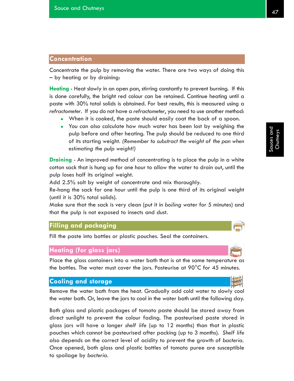## **Concentration**

Concentrate the pulp by removing the water. There are two ways of doing this – by heating or by draining:

**Heating** - Heat slowly in an open pan, stirring constantly to prevent burning. If this is done carefully, the bright red colour can be retained. Continue heating until a paste with 30% total solids is obtained. For best results, this is measured using a *refractometer*. If you do not have a *refractometer*, you need to use another method:

- When it is cooked, the paste should easily coat the back of a spoon.
- You can also calculate how much water has been lost by weighing the pulp before and after heating. The pulp should be reduced to one third of its starting weight. *(Remember to substract the weight of the pan when estimating the pulp weight!)*

**Draining** - An improved method of concentrating is to place the pulp in a white cotton sack that is hung up for one hour to allow the water to drain out, until the pulp loses half its original weight.

Add 2.5% salt by weight of concentrate and mix thoroughly.

Re-hang the sack for one hour until the pulp is one third of its original weight (until it is 30% total solids).

Make sure that the sack is very clean (put it in *boiling* water for 5 minutes) and that the pulp is not exposed to insects and dust.

#### **Filling and packaging**

Fill the paste into bottles or plastic pouches. Seal the containers.

#### **Heating (for glass jars)**

Place the glass containers into a water bath that is at the same temperature as the bottles. The water must cover the jars. Pasteurise at  $90^{\circ}$ C for 45 minutes.

#### **Cooling and storage**

Remove the water bath from the heat. Gradually add cold water to slowly cool the water bath. Or, leave the jars to cool in the water bath until the following day.

Both glass and plastic packages of tomato paste should be stored away from direct sunlight to prevent the colour fading. The pasteurised paste stored in glass jars will have a longer *shelf life* (up to 12 months) than that in plastic pouches which cannot be pasteurised after packing (up to 3 months). *Shelf life* also depends on the correct level of acidity to prevent the growth of *bacteria*. Once opened, both glass and plastic bottles of tomato puree are susceptible to spoilage by *bacteria*.



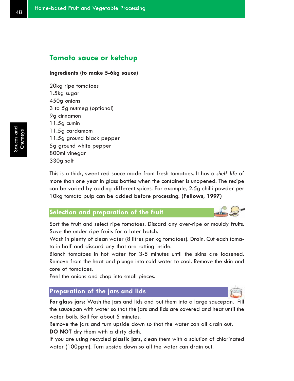## **Tomato sauce or ketchup**

#### **Ingredients (to make 5-6kg sauce)**

20kg ripe tomatoes 1.5kg sugar 450g onions 3 to 5g nutmeg (optional) 9g cinnamon 11.5g cumin 11.5g cardamom 11.5g ground black pepper 5g ground white pepper 800ml vinegar 330g salt

This is a thick, sweet red sauce made from fresh tomatoes. It has a *shelf life* of more than one year in glass bottles when the container is unopened. The recipe can be varied by adding different spices. For example, 2.5g chilli powder per 10kg tomato pulp can be added before processing. **(Fellows, 1997)**

#### **Selection and preparation of the fruit**

Sort the fruit and select ripe tomatoes. Discard any over-ripe or mouldy fruits. Save the under-ripe fruits for a later batch.

Wash in plenty of clean water (8 litres per kg tomatoes). Drain. Cut each tomato in half and discard any that are rotting inside.

Blanch tomatoes in hot water for 3-5 minutes until the skins are loosened. Remove from the heat and plunge into cold water to cool. Remove the skin and core of tomatoes.

Peel the onions and chop into small pieces.

#### **Preparation of the jars and lids**

**For glass jars:** Wash the jars and lids and put them into a large saucepan. Fill the saucepan with water so that the jars and lids are covered and heat until the water boils. Boil for about 5 minutes.

Remove the jars and turn upside down so that the water can all drain out. **DO NOT** dry them with a dirty cloth.

If you are using recycled **plastic jars**, clean them with a solution of chlorinated water (100ppm). Turn upside down so all the water can drain out.

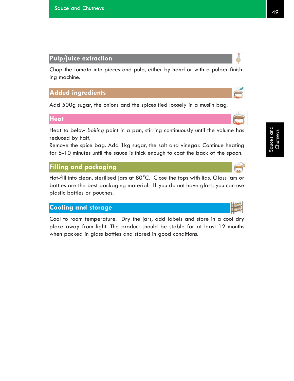Chop the tomato into pieces and pulp, either by hand or with a pulper-finishing machine.

## **Added ingredients**

Add 500g sugar, the onions and the spices tied loosely in a muslin bag.

#### **Heat**

Heat to below *boiling* point in a pan, stirring continuously until the volume has reduced by half.

Remove the spice bag. Add 1kg sugar, the salt and vinegar. Continue heating for 5-10 minutes until the sauce is thick enough to coat the back of the spoon.

## **Filling and packaging**

Hot-fill into clean, sterilised jars at 80°C. Close the tops with lids. Glass jars or bottles are the best packaging material. If you do not have glass, you can use plastic bottles or pouches.

## **Cooling and storage**

Cool to room temperature. Dry the jars, add labels and store in a cool dry place away from light. The product should be stable for at least 12 months when packed in glass bottles and stored in good conditions.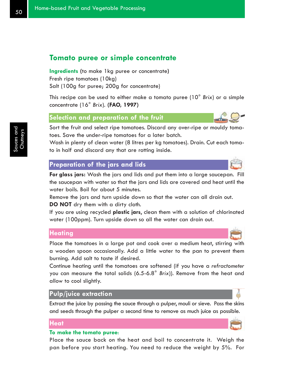## **Tomato puree or simple concentrate**

**Ingredients (**to make 1kg puree or concentrate**)** Fresh ripe tomatoes (10kg) Salt (100g for puree; 200g for concentrate)

This recipe can be used to either make a tomato puree (10° *Brix*) or a simple concentrate (16° *Brix*). **(FAO, 1997)**

#### **Selection and preparation of the fruit**

Sort the fruit and select ripe tomatoes. Discard any over-ripe or mouldy tomatoes. Save the under-ripe tomatoes for a later batch.

Wash in plenty of clean water (8 litres per kg tomatoes). Drain. Cut each tomato in half and discard any that are rotting inside.

#### **Preparation of the jars and lids**

**For glass jars:** Wash the jars and lids and put them into a large saucepan. Fill the saucepan with water so that the jars and lids are covered and heat until the water boils. Boil for about 5 minutes.

Remove the jars and turn upside down so that the water can all drain out. **DO NOT** dry them with a dirty cloth.

If you are using recycled **plastic jars**, clean them with a solution of chlorinated water (100ppm). Turn upside down so all the water can drain out.

#### **Heating**

Place the tomatoes in a large pot and cook over a medium heat, stirring with a wooden spoon occasionally. Add a little water to the pan to prevent them burning. Add salt to taste if desired.

Continue heating until the tomatoes are softened (if you have a *refractometer* you can measure the total solids (6.5-6.8° *Brix*)). Remove from the heat and allow to cool slightly.

#### **Pulp/juice extraction**

Extract the juice by passing the sauce through a pulper, mouli or sieve. Pass the skins and seeds through the pulper a second time to remove as much juice as possible.

#### **Heat**

#### **To make the tomato puree**:

Place the sauce back on the heat and boil to concentrate it. Weigh the pan before you start heating. You need to reduce the weight by 5%. For

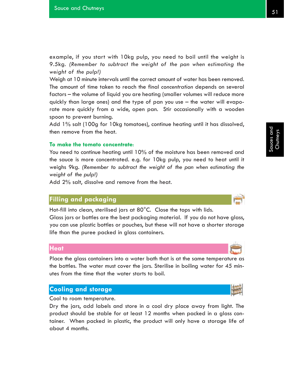example, if you start with 10kg pulp, you need to boil until the weight is 9.5kg. *(Remember to subtract the weight of the pan when estimating the weight of the pulp!)*

Weigh at 10 minute intervals until the correct amount of water has been removed. The amount of time taken to reach the final *concentration* depends on several factors – the volume of liquid you are heating (smaller volumes will reduce more quickly than large ones) and the type of pan you use – the water will evaporate more quickly from a wide, open pan. Stir occasionally with a wooden spoon to prevent burning.

Add 1% salt (100g for 10kg tomatoes), continue heating until it has dissolved, then remove from the heat.

#### **To make the tomato concentrate**:

You need to continue heating until 10% of the moisture has been removed and the sauce is more concentrated. e.g. for 10kg pulp, you need to heat until it weighs 9kg. *(Remember to subtract the weight of the pan when estimating the weight of the pulp!)*

Add 2% salt, dissolve and remove from the heat.

#### **Filling and packaging**

Hot-fill into clean, sterilised jars at 80°C. Close the tops with lids.

Glass jars or bottles are the best packaging material. If you do not have glass, you can use plastic bottles or pouches, but these will not have a shorter storage life than the puree packed in glass containers.

#### **Heat**

Place the glass containers into a water bath that is at the same temperature as the bottles. The water must cover the jars. Sterilise in boiling water for 45 minutes from the time that the water starts to boil.

## **Cooling and storage**

Cool to room temperature.

Dry the jars, add labels and store in a cool dry place away from light. The product should be stable for at least 12 months when packed in a glass container. When packed in plastic, the product will only have a storage life of about 4 months.

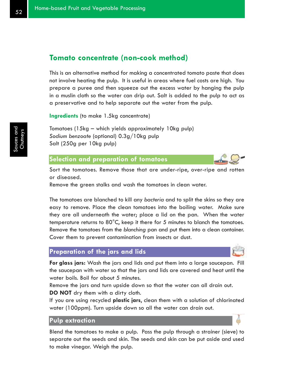## **Tomato concentrate (non-cook method)**

This is an alternative method for making a concentrated tomato paste that does not involve heating the pulp. It is useful in areas where fuel costs are high. You prepare a puree and then squeeze out the excess water by hanging the pulp in a muslin cloth so the water can drip out. Salt is added to the pulp to act as a preservative and to help separate out the water from the pulp.

**Ingredients** (to make 1.5kg concentrate)

Tomatoes (15kg – which yields approximately 10kg pulp) *Sodium benzoate* (optional) 0.3g/10kg pulp Salt (250g per 10kg pulp)

#### **Selection and preparation of tomatoes**

Sort the tomatoes. Remove those that are under-ripe, over-ripe and rotten or diseased.

Remove the green stalks and wash the tomatoes in clean water.

The tomatoes are blanched to kill any *bacteria* and to split the skins so they are easy to remove. Place the clean tomatoes into the boiling water. Make sure they are all underneath the water; place a lid on the pan. When the water temperature returns to 80°C, keep it there for 5 minutes to blanch the tomatoes. Remove the tomatoes from the *blanching* pan and put them into a clean container. Cover them to prevent contamination from insects or dust.

## **Preparation of the jars and lids**

**For glass jars:** Wash the jars and lids and put them into a large saucepan. Fill the saucepan with water so that the jars and lids are covered and heat until the water boils. Boil for about 5 minutes.

Remove the jars and turn upside down so that the water can all drain out. **DO NOT** dry them with a dirty cloth.

If you are using recycled **plastic jars**, clean them with a solution of chlorinated water (100ppm). Turn upside down so all the water can drain out.

#### **Pulp extraction**

Blend the tomatoes to make a pulp. Pass the pulp through a strainer (sieve) to separate out the seeds and skin. The seeds and skin can be put aside and used to make vinegar. Weigh the pulp.

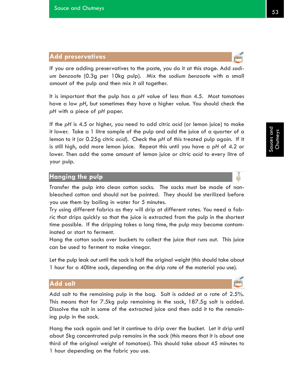## **Add preservatives**

If you are adding preservatives to the paste, you do it at this stage. Add *sodium benzoate* (0.3g per 10kg pulp). Mix the *sodium benzoate* with a small amount of the pulp and then mix it all together.

It is important that the pulp has a *pH* value of less than 4.5. Most tomatoes have a low *pH*, but sometimes they have a higher value. You should check the *pH* with a piece of *pH* paper.

If the *pH* is 4.5 or higher, you need to add citric *acid* (or lemon juice) to make it lower. Take a 1 litre sample of the pulp and add the juice of a quarter of a lemon to it (or 0.25g citric *acid*). Check the *pH* of this treated pulp again. If it is still high, add more lemon juice. Repeat this until you have a *pH* of 4.2 or lower. Then add the same amount of lemon juice or citric *acid* to every litre of your pulp.

#### **Hanging the pulp**

Transfer the pulp into clean cotton sacks. The sacks must be made of nonbleached cotton and should not be painted. They should be sterilized before you use them by boiling in water for 5 minutes.

Try using different fabrics as they will drip at different rates. You need a fabric that drips quickly so that the juice is extracted from the pulp in the shortest time possible. If the dripping takes a long time, the pulp may become contaminated or start to ferment.

Hang the cotton sacks over buckets to collect the juice that runs out. This juice can be used to ferment to make vinegar.

Let the pulp leak out until the sack is half the original weight (this should take about 1 hour for a 40litre sack, depending on the drip rate of the material you use).

#### **Add salt**

Add salt to the remaining pulp in the bag. Salt is added at a rate of 2.5%. This means that for 7.5kg pulp remaining in the sack, 187.5g salt is added. Dissolve the salt in some of the extracted juice and then add it to the remaining pulp in the sack.

Hang the sack again and let it continue to drip over the bucket. Let it drip until about 5kg concentrated pulp remains in the sack (this means that it is about one third of the original weight of tomatoes). This should take about 45 minutes to 1 hour depending on the fabric you use.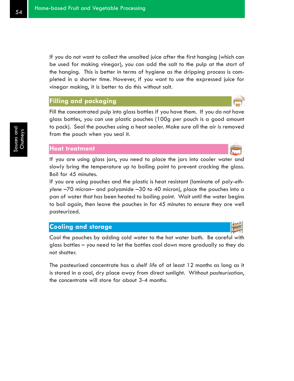If you do not want to collect the unsalted juice after the first hanging (which can be used for making vinegar), you can add the salt to the pulp at the start of the hanging. This is better in terms of hygiene as the dripping process is completed in a shorter time. However, if you want to use the expressed juice for vinegar making, it is better to do this without salt.

#### **Filling and packaging**

Fill the concentrated pulp into glass bottles if you have them. If you do not have glass bottles, you can use plastic pouches (100g per pouch is a good amount to pack). Seal the pouches using a heat sealer. Make sure all the air is removed from the pouch when you seal it.

## **Heat treatment**

If you are using glass jars, you need to place the jars into cooler water and slowly bring the temperature up to boiling point to prevent cracking the glass. Boil for 45 minutes.

If you are using pouches and the plastic is heat resistant (laminate of poly-*ethylene* –70 micron– and polyamide –30 to 40 micron), place the pouches into a pan of water that has been heated to boiling point. Wait until the water begins to boil again, then leave the pouches in for 45 minutes to ensure they are well pasteurized.

## **Cooling and storage**

Cool the pouches by adding cold water to the hot water bath. Be careful with glass bottles – you need to let the bottles cool down more gradually so they do not shatter.

The pasteurised concentrate has a *shelf life* of at least 12 months as long as it is stored in a cool, dry place away from direct sunlight. Without *pasteurisation*, the concentrate will store for about 3-4 months.



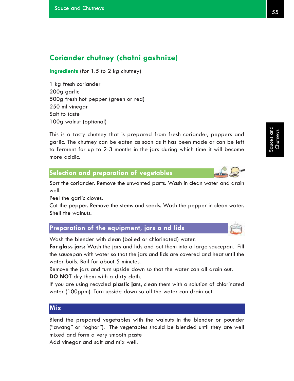## **Coriander chutney (chatni gashnize)**

**Ingredients** (for 1.5 to 2 kg chutney)

1 kg fresh coriander 200g garlic 500g fresh hot pepper (green or red) 250 ml vinegar Salt to taste 100g walnut (optional)

This is a tasty chutney that is prepared from fresh coriander, peppers and garlic. The chutney can be eaten as soon as it has been made or can be left to ferment for up to 2-3 months in the jars during which time it will become more acidic.

#### **Selection and preparation of vegetables**

Sort the coriander. Remove the unwanted parts. Wash in clean water and drain well.

Peel the garlic cloves.

Cut the pepper. Remove the stems and seeds. Wash the pepper in clean water. Shell the walnuts.

**Preparation of the equipment, jars a nd lids**

Wash the blender with clean (boiled or chlorinated) water.

**For glass jars:** Wash the jars and lids and put them into a large saucepan. Fill the saucepan with water so that the jars and lids are covered and heat until the water boils. Boil for about 5 minutes.

Remove the jars and turn upside down so that the water can all drain out. **DO NOT** dry them with a dirty cloth.

If you are using recycled **plastic jars**, clean them with a solution of chlorinated water (100ppm). Turn upside down so all the water can drain out.

## **Mix**

Blend the prepared vegetables with the walnuts in the blender or pounder ("awang*"* or "oghor*"*). The vegetables should be blended until they are well mixed and form a very smooth paste Add vinegar and salt and mix well.



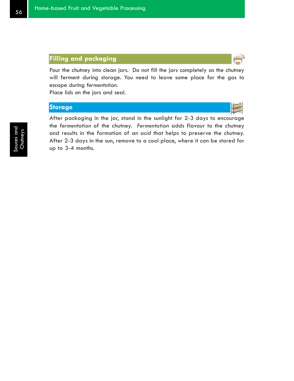Pour the chutney into clean jars. Do not fill the jars completely as the chutney will ferment during storage. You need to leave some place for the gas to escape during *fermentation*.

Place lids on the jars and seal.

### **Storage**



After packaging in the jar, stand in the sunlight for 2-3 days to encourage the *fermentation* of the chutney. *Fermentation* adds flavour to the chutney and results in the formation of an *acid* that helps to preserve the chutney. After 2-3 days in the sun, remove to a cool place, where it can be stored for up to 3-4 months.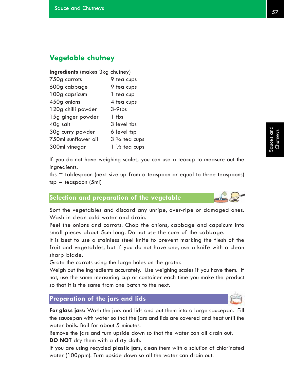## **Vegetable chutney**

#### **Ingredients** (makes 3kg chutney)

| 750g carrots        | 9 tea cups              |
|---------------------|-------------------------|
| 600g cabbage        | 9 tea cups              |
| 100g capsicum       | 1 tea cup               |
| 450g onions         | 4 tea cups              |
| 120g chilli powder  | $3-9$ tbs               |
| 15g ginger powder   | 1 tbs                   |
| 40g salt            | 3 level tbs             |
| 30g curry powder    | 6 level tsp             |
| 750ml sunflower oil | $3\frac{3}{4}$ tea cups |
| 300ml vinegar       | $1\frac{1}{2}$ tea cups |

If you do not have weighing scales, you can use a teacup to measure out the ingredients.

 $tbs =$  tablespoon (next size up from a teaspoon or equal to three teaspoons)  $tsp = teaspoon (5ml)$ 

## **Selection and preparation of the vegetable**

Sort the vegetables and discard any unripe, over-ripe or damaged ones. Wash in clean cold water and drain.

Peel the onions and carrots. Chop the onions, cabbage and capsicum into small pieces about 5cm long. Do not use the core of the cabbage.

It is best to use a stainless steel knife to prevent marking the flesh of the fruit and vegetables, but if you do not have one, use a knife with a clean sharp blade.

Grate the carrots using the large holes on the grater.

Weigh out the ingredients accurately. Use weighing scales if you have them. If not, use the same measuring cup or container each time you make the product so that it is the same from one batch to the next.

#### **Preparation of the jars and lids**

**For glass jars:** Wash the jars and lids and put them into a large saucepan. Fill the saucepan with water so that the jars and lids are covered and heat until the water boils. Boil for about 5 minutes.

Remove the jars and turn upside down so that the water can all drain out. **DO NOT** dry them with a dirty cloth.

If you are using recycled **plastic jars**, clean them with a solution of chlorinated water (100ppm). Turn upside down so all the water can drain out.

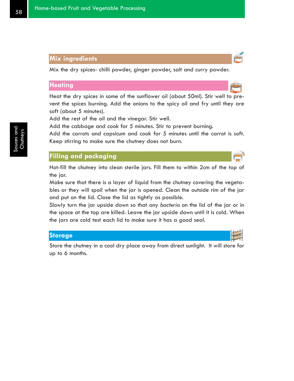#### **Mix ingredients**

Mix the dry spices- chilli powder, ginger powder, salt and curry powder.

### **Heating**

Heat the dry spices in some of the sunflower oil (about 50ml). Stir well to prevent the spices burning. Add the onions to the spicy oil and fry until they are soft (about 5 minutes).

Add the rest of the oil and the vinegar. Stir well.

Add the cabbage and cook for 5 minutes. Stir to prevent burning.

Add the carrots and capsicum and cook for 5 minutes until the carrot is soft. Keep stirring to make sure the chutney does not burn.

## **Filling and packaging**

Hot-fill the chutney into clean sterile jars. Fill them to within 2cm of the top of the jar.

Make sure that there is a layer of liquid from the chutney covering the vegetables or they will spoil when the jar is opened. Clean the outside rim of the jar and put on the lid. Close the lid as tightly as possible.

Slowly turn the jar upside down so that any *bacteria* on the lid of the jar or in the space at the top are killed. Leave the jar upside down until it is cold. When the jars are cold test each lid to make sure it has a good seal.

#### **Storage**

Store the chutney in a cool dry place away from direct sunlight. It will store for up to 6 months.



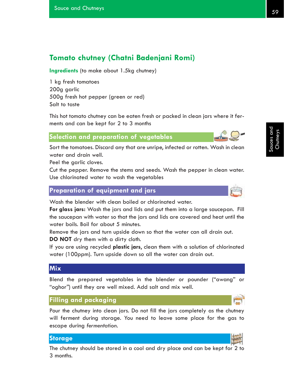## **Tomato chutney (Chatni Badenjani Romi)**

**Ingredients** (to make about 1.5kg chutney)

1 kg fresh tomatoes 200g garlic 500g fresh hot pepper (green or red) Salt to taste

This hot tomato chutney can be eaten fresh or packed in clean jars where it ferments and can be kept for 2 to 3 months

## **Selection and preparation of vegetables**

Sort the tomatoes. Discard any that are unripe, infected or rotten. Wash in clean water and drain well.

Peel the garlic cloves.

Cut the pepper. Remove the stems and seeds. Wash the pepper in clean water. Use chlorinated water to wash the vegetables

#### **Preparation of equipment and jars**

Wash the blender with clean boiled or chlorinated water.

**For glass jars:** Wash the jars and lids and put them into a large saucepan. Fill the saucepan with water so that the jars and lids are covered and heat until the water boils. Boil for about 5 minutes.

Remove the jars and turn upside down so that the water can all drain out. **DO NOT** dry them with a dirty cloth.

If you are using recycled **plastic jars**, clean them with a solution of chlorinated water (100ppm). Turn upside down so all the water can drain out.

#### **Mix**

Blend the prepared vegetables in the blender or pounder ("awang" or "oghor*"*) until they are well mixed. Add salt and mix well.

#### **Filling and packaging**

Pour the chutney into clean jars. Do not fill the jars completely as the chutney will ferment during storage. You need to leave some place for the gas to escape during *fermentation*.

#### **Storage**

The chutney should be stored in a cool and dry place and can be kept for 2 to 3 months.



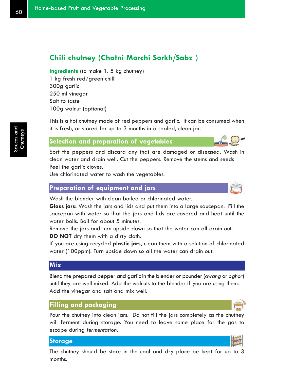## **Chili chutney (Chatni Morchi Sorkh/Sabz )**

**Ingredients** (to make 1. 5 kg chutney) 1 kg fresh red/green chilli 300g garlic 250 ml vinegar Salt to taste 100g walnut (optional)

This is a hot chutney made of red peppers and garlic. It can be consumed when it is fresh, or stored for up to 3 months in a sealed, clean jar.

#### **Selection and preparation of vegetables**

Sort the peppers and discard any that are damaged or diseased. Wash in clean water and drain well. Cut the peppers. Remove the stems and seeds Peel the garlic cloves.

Use chlorinated water to wash the vegetables.

#### **Preparation of equipment and jars**

Wash the blender with clean boiled or chlorinated water.

**Glass jars:** Wash the jars and lids and put them into a large saucepan. Fill the saucepan with water so that the jars and lids are covered and heat until the water boils. Boil for about 5 minutes.

Remove the jars and turn upside down so that the water can all drain out. **DO NOT** dry them with a dirty cloth.

If you are using recycled **plastic jars**, clean them with a solution of chlorinated water (100ppm). Turn upside down so all the water can drain out.

#### **Mix**

Blend the prepared pepper and garlic in the blender or pounder (*awang* or *oghor*) until they are well mixed. Add the walnuts to the blender if you are using them. Add the vinegar and salt and mix well.

#### **Filling and packaging**

Pour the chutney into clean jars. Do not fill the jars completely as the chutney will ferment during storage. You need to leave some place for the gas to escape during *fermentation*.

#### **Storage**

The chutney should be store in the cool and dry place be kept for up to 3 months.

# Sauces and Chutneys



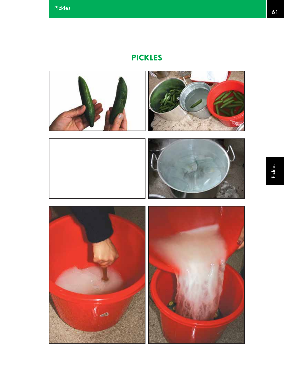# **PICKLES**

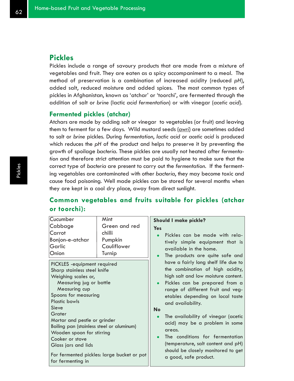## **Pickles**

Pickles include a range of savoury products that are made from a mixture of vegetables and fruit. They are eaten as a spicy accompaniment to a meal. The method of preservation is a combination of increased acidity (reduced *pH*), added salt, reduced moisture and added spices. The most common types of pickles in Afghanistan, known as 'atchar' or 'toorchi', are fermented through the addition of salt or *brine* (lactic *acid fermentation*) or with vinegar (*acetic acid*).

#### **Fermented pickles (atchar)**

Atchars are made by adding salt or vinegar to vegetables (or fruit) and leaving them to ferment for a few days. Wild mustard seeds (*awri*) are sometimes added to salt or *brine* pickles. During *fermentation*, *lactic acid* or *acetic acid* is produced which reduces the *pH* of the product and helps to preserve it by preventing the growth of spoilage *bacteria*. These pickles are usually not heated after *fermentation* and therefore strict attention must be paid to hygiene to make sure that the correct type of *bacteria* are present to carry out the *fermentation*. If the fermenting vegetables are contaminated with other *bacteria*, they may become toxic and cause food poisoning. Well made pickles can be stored for several months when they are kept in a cool dry place, away from direct sunlight.

## **Common vegetables and fruits suitable for pickles (atchar or toorchi):**

| Pickles can be made with rela-       |
|--------------------------------------|
| tively simple equipment that is      |
|                                      |
|                                      |
| The products are quite safe and      |
| have a fairly long shelf life due to |
| the combination of high acidity,     |
| high salt and low moisture content.  |
| Pickles can be prepared from a       |
| range of different fruit and veg-    |
| etables depending on local taste     |
|                                      |
|                                      |
| The availability of vinegar (acetic  |
| acid) may be a problem in some       |
|                                      |
| The conditions for fermentation      |
|                                      |
| (temperature, salt content and pH)   |
| should be closely monitored to get   |
|                                      |
|                                      |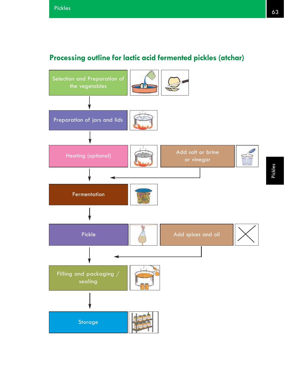# **Processing outline for lactic acid fermented pickles (atchar)**

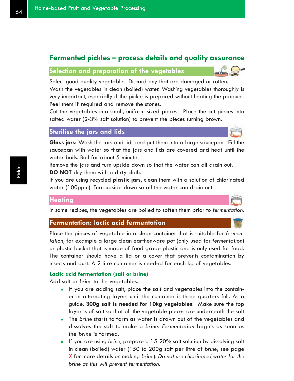## **Fermented pickles – process details and quality assurance**

## **Selection and preparation of the vegetables**

Select good quality vegetables. Discard any that are damaged or rotten. Wash the vegetables in clean (boiled) water. Washing vegetables thoroughly is very important, especially if the pickle is prepared without heating the produce. Peel them if required and remove the stones.

Cut the vegetables into small, uniform sized pieces. Place the cut pieces into salted water (2-3% salt solution) to prevent the pieces turning brown.

## **Sterilise the jars and lids**

**Glass jars:** Wash the jars and lids and put them into a large saucepan. Fill the saucepan with water so that the jars and lids are covered and heat until the water boils. Boil for about 5 minutes.

Remove the jars and turn upside down so that the water can all drain out. **DO NOT** dry them with a dirty cloth.

If you are using recycled **plastic jars**, clean them with a solution of chlorinated water (100ppm). Turn upside down so all the water can drain out.

#### **Heating**

In some recipes, the vegetables are boiled to soften them prior to *fermentation*.

## **Fermentation: lactic acid fermentation**

Place the pieces of vegetable in a clean container that is suitable for *fermentation*, for example a large clean earthenware pot (only used for *fermentation*) or plastic bucket that is made of food grade plastic and is only used for food. The container should have a lid or a cover that prevents contamination by insects and dust. A 2 litre container is needed for each kg of vegetables.

#### **Lactic acid fermentation (salt or brine)**

Add salt or *brine* to the vegetables.

- If you are adding salt, place the salt and vegetables into the container in alternating layers until the container is three quarters full. As a guide, **300g salt is needed for 10kg vegetables**. Make sure the top layer is of salt so that all the vegetable pieces are underneath the salt
- The *brine* starts to form as water is drawn out of the vegetables and dissolves the salt to make a *brine*. *Fermentation* begins as soon as the *brine* is formed.
- If you are using *brine*, prepare a 15-20% salt solution by dissolving salt in clean (boiled) water (150 to 200g salt per litre of *brine*; see page X for more details on making *brine*). *Do not use chlorinated water for the brine as this will prevent fermentation.*



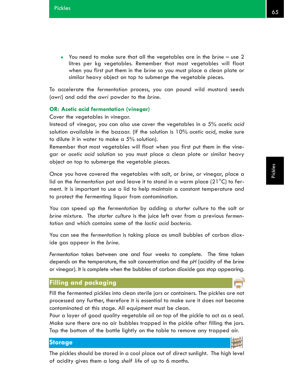• You need to make sure that all the vegetables are in the *brine* – use 2 litres per kg vegetables. Remember that most vegetables will float when you first put them in the *brine* so you must place a clean plate or similar heavy object on top to submerge the vegetable pieces.

To accelerate the *fermentation* process, you can pound wild mustard seeds (*awri*) and add the *awri* powder to the *brine*.

#### **OR: Acetic acid fermentation (vinegar)**

Cover the vegetables in vinegar.

Instead of vinegar, you can also use cover the vegetables in a 5% *acetic acid* solution available in the bazaar. (If the solution is 10% *acetic acid*, make sure to dilute it in water to make a 5% solution).

Remember that most vegetables will float when you first put them in the vinegar or *acetic acid* solution so you must place a clean plate or similar heavy object on top to submerge the vegetable pieces.

Once you have covered the vegetables with salt, or *brine*, or vinegar, place a lid on the *fermentation* pot and leave it to stand in a warm place (21°C) to ferment. It is important to use a lid to help maintain a constant temperature and to protect the fermenting liquor from contamination.

You can speed up the *fermentation* by adding a *starter culture* to the salt or *brine* mixture. The *starter culture* is the juice left over from a previous *fermentation* and which contains some of the *lactic acid bacteria*.

You can see the *fermentation* is taking place as small bubbles of carbon dioxide gas appear in the *brine*.

*Fermentation* takes between one and four weeks to complete. The time taken depends on the temperature, the salt concentration and the *pH* (acidity of the *brine* or vinegar). It is complete when the bubbles of carbon dioxide gas stop appearing.

#### **Filling and packaging**

Fill the fermented pickles into clean sterile jars or containers. The pickles are not processed any further, therefore it is essential to make sure it does not become contaminated at this stage. All equipment must be clean.

Pour a layer of good quality vegetable oil on top of the pickle to act as a seal. Make sure there are no air bubbles trapped in the pickle after filling the jars. Tap the bottom of the bottle lightly on the table to remove any trapped air.

#### **Storage**

The pickles should be stored in a cool place out of direct sunlight. The high level of acidity gives them a long *shelf life* of up to 6 months.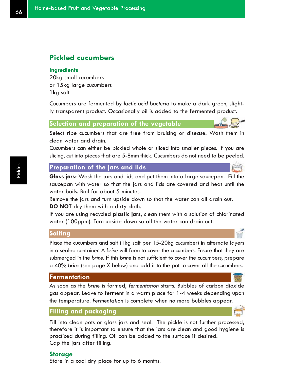# **Pickled cucumbers**

#### **Ingredients**

20kg small cucumbers or 15kg large cucumbers 1kg salt

Cucumbers are fermented by *lactic acid bacteria* to make a dark green, slightly transparent product. Occasionally oil is added to the fermented product.

**Selection and preparation of the vegetable**

Select ripe cucumbers that are free from bruising or disease. Wash them in clean water and drain.

Cucumbers can either be pickled whole or sliced into smaller pieces. If you are slicing, cut into pieces that are 5-8mm thick. Cucumbers do not need to be peeled.

## **Preparation of the jars and lids**

**Glass jars:** Wash the jars and lids and put them into a large saucepan. Fill the saucepan with water so that the jars and lids are covered and heat until the water boils. Boil for about 5 minutes.

Remove the jars and turn upside down so that the water can all drain out. **DO NOT** dry them with a dirty cloth.

If you are using recycled **plastic jars**, clean them with a solution of chlorinated water (100ppm). Turn upside down so all the water can drain out.

### **Salting**

Place the cucumbers and salt (1kg salt per 15-20kg cucumber) in alternate layers in a sealed container. A *brine* will form to cover the cucumbers. Ensure that they are submerged in the *brine*. If this *brine* is not sufficient to cover the cucumbers, prepare a 40% *brine* (see page X below) and add it to the pot to cover all the cucumbers.

### **Fermentation**

As soon as the *brine* is formed, *fermentation* starts. Bubbles of carbon dioxide gas appear. Leave to ferment in a warm place for 1-4 weeks depending upon the temperature. *Fermentation* is complete when no more bubbles appear.

### **Filling and packaging**

Fill into clean pots or glass jars and seal. The pickle is not further processed, therefore it is important to ensure that the jars are clean and good hygiene is practiced during filling. Oil can be added to the surface if desired. Cap the jars after filling.

### **Storage**

Store in a cool dry place for up to 6 months.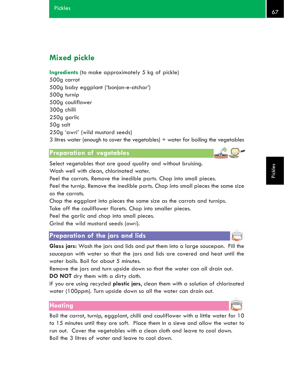# **Mixed pickle**

**Ingredients** (to make approximately 5 kg of pickle) 500g carrot 500g baby eggplant ('bonjon-e-atchar') 500g turnip 500g cauliflower 300g chilli 250g garlic 50g salt 250g 'awri*'* (wild mustard seeds) 3 litres water (enough to cover the vegetables)  $+$  water for boiling the vegetables

### **Preparation of vegetables**

Select vegetables that are good quality and without bruising. Wash well with clean, chlorinated water.

Peel the carrots. Remove the inedible parts. Chop into small pieces. Peel the turnip. Remove the inedible parts. Chop into small pieces the same size as the carrots.

Chop the eggplant into pieces the same size as the carrots and turnips. Take off the cauliflower florets. Chop into smaller pieces.

Peel the garlic and chop into small pieces.

Grind the wild mustard seeds (*awri*).

## **Preparation of the jars and lids**

**Glass jars:** Wash the jars and lids and put them into a large saucepan. Fill the saucepan with water so that the jars and lids are covered and heat until the water boils. Boil for about 5 minutes.

Remove the jars and turn upside down so that the water can all drain out. **DO NOT** dry them with a dirty cloth.

If you are using recycled **plastic jars**, clean them with a solution of chlorinated water (100ppm). Turn upside down so all the water can drain out.

### **Heating**

Boil the carrot, turnip, eggplant, chilli and cauliflower with a little water for 10 to 15 minutes until they are soft. Place them in a sieve and allow the water to run out. Cover the vegetables with a clean cloth and leave to cool down. Boil the 3 litres of water and leave to cool down.

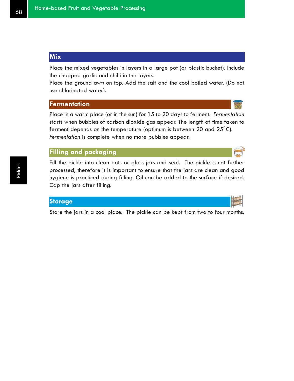# **Mix**

Place the mixed vegetables in layers in a large pot (or plastic bucket). Include the chopped garlic and chilli in the layers.

Place the ground *awri* on top. Add the salt and the cool boiled water. (Do not use chlorinated water).

### **Fermentation**

Place in a warm place (or in the sun) for 15 to 20 days to ferment. *Fermentation* starts when bubbles of carbon dioxide gas appear. The length of time taken to ferment depends on the temperature (optimum is between 20 and 25°C). *Fermentation* is complete when no more bubbles appear.

# **Filling and packaging**

Fill the pickle into clean pots or glass jars and seal. The pickle is not further processed, therefore it is important to ensure that the jars are clean and good hygiene is practiced during filling. Oil can be added to the surface if desired. Cap the jars after filling.

### **Storage**

Store the jars in a cool place. The pickle can be kept from two to four months.



Pickles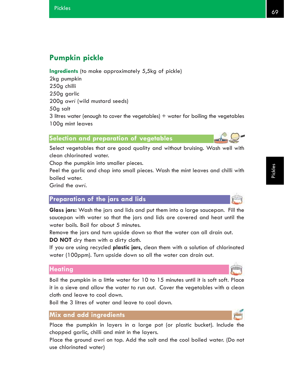# **Pumpkin pickle**

**Ingredients** (to make approximately 5,5kg of pickle)

2kg pumpkin 250g chilli 250g garlic 200g *awri* (wild mustard seeds) 50g salt 3 litres water (enough to cover the vegetables)  $+$  water for boiling the vegetables 100g mint leaves

# **Selection and preparation of vegetables**

Select vegetables that are good quality and without bruising. Wash well with clean chlorinated water.

Chop the pumpkin into smaller pieces.

Peel the garlic and chop into small pieces. Wash the mint leaves and chilli with boiled water.

Grind the *awri*.

# **Preparation of the jars and lids**

**Glass jars:** Wash the jars and lids and put them into a large saucepan. Fill the saucepan with water so that the jars and lids are covered and heat until the water boils. Boil for about 5 minutes.

Remove the jars and turn upside down so that the water can all drain out. **DO NOT** dry them with a dirty cloth.

If you are using recycled **plastic jars**, clean them with a solution of chlorinated water (100ppm). Turn upside down so all the water can drain out.

### **Heating**

Boil the pumpkin in a little water for 10 to 15 minutes until it is soft soft. Place it in a sieve and allow the water to run out. Cover the vegetables with a clean cloth and leave to cool down.

Boil the 3 litres of water and leave to cool down.

# **Mix and add ingredients**

Place the pumpkin in layers in a large pot (or plastic bucket). Include the chopped garlic, chilli and mint in the layers.

Place the ground awri on top. Add the salt and the cool boiled water. (Do not use chlorinated water)

Pickles

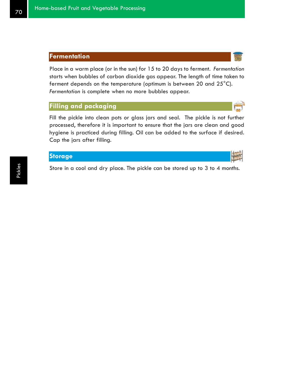Place in a warm place (or in the sun) for 15 to 20 days to ferment. *Fermentation* starts when bubbles of carbon dioxide gas appear. The length of time taken to ferment depends on the temperature (optimum is between 20 and 25°C). *Fermentation* is complete when no more bubbles appear.

# **Filling and packaging**

Fill the pickle into clean pots or glass jars and seal. The pickle is not further processed, therefore it is important to ensure that the jars are clean and good hygiene is practiced during filling. Oil can be added to the surface if desired. Cap the jars after filling.

Store in a cool and dry place. The pickle can be stored up to 3 to 4 months.



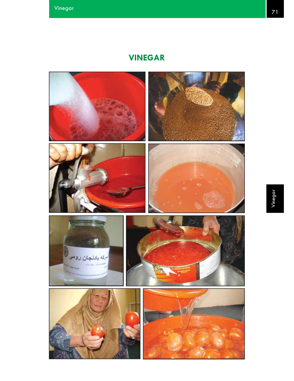# **VINEGAR**

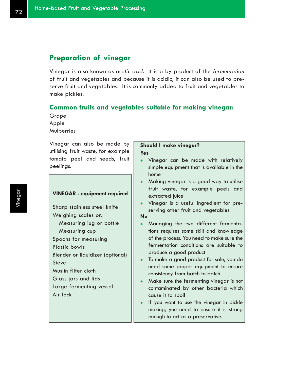# **Preparation of vinegar**

Vinegar is also known as *acetic acid*. It is a by-product of the *fermentation* of fruit and vegetables and because it is acidic, it can also be used to preserve fruit and vegetables. It is commonly added to fruit and vegetables to make pickles.

### **Common fruits and vegetables suitable for making vinegar:**

Grape Apple Mulberries

Vinegar can also be made by utilising fruit waste, for example tomato peel and seeds, fruit peelings.

### **VINEGAR - equipment required**

Sharp stainless steel knife Weighing scales or, Measuring jug or bottle Measuring cup Spoons for measuring Plastic bowls Blender or liquidizer (optional) Sieve Muslin filter cloth Glass jars and lids Large fermenting vessel Air lock

### **Should I make vinegar? Yes**

- Vinegar can be made with relatively simple equipment that is available in the home
- Making vinegar is a good way to utilise fruit waste, for example peels and extracted juice
- Vinegar is a useful ingredient for preserving other fruit and vegetables.

#### **No**

- Managing the two different fermentations requires some skill and knowledge of the process. You need to make sure the fermentation conditions are suitable to produce a good product
- To make a good product for sale, you do need some proper equipment to ensure consistency from batch to batch
- Make sure the fermenting vinegar is not contaminated by other bacteria which cause it to spoil
- If you want to use the vinegar in pickle making, you need to ensure it is strong enough to act as a preservative.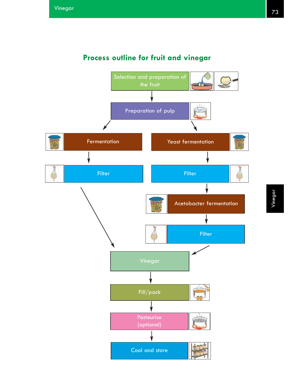

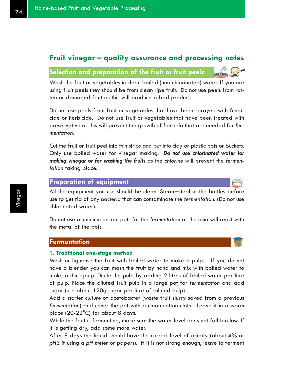# **Fruit vinegar – quality assurance and processing notes**

# **Selection and preparation of the fruit or fruit peels**

Wash the fruit or vegetables in clean boiled (non-chlorinated) water. If you are using fruit peels they should be from clean ripe fruit. Do not use peels from rotten or damaged fruit as this will produce a bad product.

Do not use peels from fruit or vegetables that have been sprayed with fungicide or herbicide. Do not use fruit or vegetables that have been treated with preservative as this will prevent the growth of *bacteria* that are needed for *fermentation*.

Cut the fruit or fruit peel into thin strips and put into clay or plastic pots or buckets. Only use boiled water for vinegar making. *Do not use chlorinated water for making vinegar or for washing the fruits* as the *chlorine* will prevent the *fermentation* taking place.

### **Preparation of equipment**

All the equipment you use should be clean. Steam–sterilise the bottles before use to get rid of any *bacteria* that can contaminate the *fermentation*. (Do not use chlorinated water).

Do not use aluminium or iron pots for the *fermentation* as the *acid* will react with the metal of the pots.

### **Fermentation**

#### **1. Traditional one-stage method**

Mash or liquidise the fruit with boiled water to make a pulp. If you do not have a blender you can mash the fruit by hand and mix with boiled water to make a thick pulp. Dilute the pulp by adding 2 litres of boiled water per litre of pulp. Place the diluted fruit pulp in a large pot for *fermentation* and add sugar (use about 120g sugar per litre of diluted pulp).

Add a *starter culture* of acetobacter (waste fruit slurry saved from a previous *fermentation*) and cover the pot with a clean cotton cloth. Leave it in a warm place (20-22°C) for about 8 days.

While the fruit is fermenting, make sure the water level does not fall too low. If it is getting dry, add some more water.

After 8 days the liquid should have the correct level of acidity (about 4% or *pH*3 if using a *pH meter* or papers). If it is not strong enough, leave to ferment

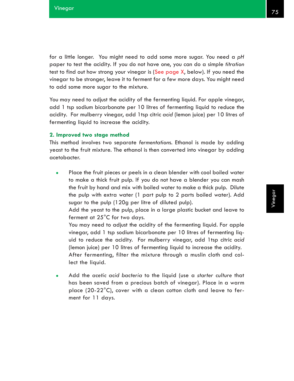for a little longer. You might need to add some more sugar. You need a *pH* paper to test the acidity. If you do not have one, you can do a simple *titration* test to find out how strong your vinegar is (See page X, below). If you need the vinegar to be stronger, leave it to ferment for a few more days. You might need to add some more sugar to the mixture.

You may need to adjust the acidity of the fermenting liquid. For apple vinegar, add 1 tsp sodium bicarbonate per 10 litres of fermenting liquid to reduce the acidity. For mulberry vinegar, add 1tsp citric *acid* (lemon juice) per 10 litres of fermenting liquid to increase the acidity.

#### **2. Improved two stage method**

This method involves two separate *fermentation*s. Ethanol is made by adding yeast to the fruit mixture. The ethanol is then converted into vinegar by adding acetobacter.

Place the fruit pieces or peels in a clean blender with cool boiled water to make a thick fruit pulp. If you do not have a blender you can mash the fruit by hand and mix with boiled water to make a thick pulp. Dilute the pulp with extra water (1 part pulp to 2 parts boiled water). Add sugar to the pulp (120g per litre of diluted pulp).

Add the yeast to the pulp, place in a large plastic bucket and leave to ferment at 25°C for two days.

You may need to adjust the acidity of the fermenting liquid. For apple vinegar, add 1 tsp sodium bicarbonate per 10 litres of fermenting liquid to reduce the acidity. For mulberry vinegar, add 1tsp citric *acid* (lemon juice) per 10 litres of fermenting liquid to increase the acidity. After fermenting, filter the mixture through a muslin cloth and collect the liquid.

<sup>z</sup> Add the *acetic acid bacteria* to the liquid (use a *starter culture* that has been saved from a precious batch of vinegar). Place in a warm place (20-22°C), cover with a clean cotton cloth and leave to ferment for 11 days.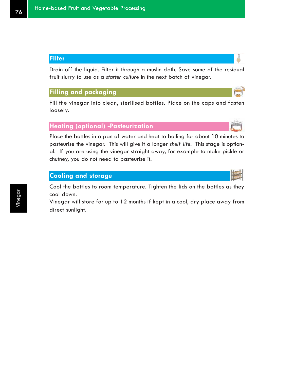# **Filter**

Drain off the liquid. Filter it through a muslin cloth. Save some of the residual fruit slurry to use as a *starter culture* in the next batch of vinegar.

# **Filling and packaging**

Fill the vinegar into clean, sterilised bottles. Place on the caps and fasten loosely.

# **Heating (optional) -Pasteurization**

Place the bottles in a pan of water and heat to boiling for about 10 minutes to pasteurise the vinegar. This will give it a longer *shelf life*. This stage is optional. If you are using the vinegar straight away, for example to make pickle or chutney, you do not need to pasteurise it.

# **Cooling and storage**

Cool the bottles to room temperature. Tighten the lids on the bottles as they cool down.

Vinegar will store for up to 12 months if kept in a cool, dry place away from direct sunlight.



Ô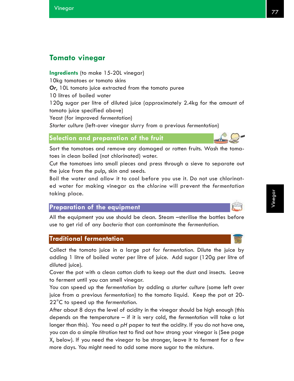# **Tomato vinegar**

**Ingredients** (to make 15-20L vinegar) 10kg tomatoes or tomato skins *Or*, 10L tomato juice extracted from the tomato puree 10 litres of boiled water 120g sugar per litre of diluted juice (approximately 2.4kg for the amount of tomato juice specified above) Yeast (for improved *fermentation*) *Starter culture* (left-over vinegar slurry from a previous *fermentation*)

### **Selection and preparation of the fruit**

Sort the tomatoes and remove any damaged or rotten fruits. Wash the tomatoes in clean boiled (not chlorinated) water.

Cut the tomatoes into small pieces and press through a sieve to separate out the juice from the pulp, skin and seeds.

Boil the water and allow it to cool before you use it. Do not use chlorinated water for making vinegar as the *chlorine* will prevent the *fermentation* taking place.

## **Preparation of the equipment**

All the equipment you use should be clean. Steam –sterilise the bottles before use to get rid of any *bacteria* that can contaminate the *fermentation*.

### **Traditional fermentation**

Collect the tomato juice in a large pot for *fermentation*. Dilute the juice by adding 1 litre of boiled water per litre of juice. Add sugar (120g per litre of diluted juice).

Cover the pot with a clean cotton cloth to keep out the dust and insects. Leave to ferment until you can smell vinegar.

You can speed up the *fermentation* by adding a *starter culture* (some left over juice from a previous *fermentation*) to the tomato liquid. Keep the pot at 20- 22°C to speed up the *fermentation*.

After about 8 days the level of acidity in the vinegar should be high enough (this depends on the temperature – if it is very cold, the *fermentation* will take a lot longer than this). You need a *pH* paper to test the acidity. If you do not have one, you can do a simple *titration* test to find out how strong your vinegar is (See page X, below). If you need the vinegar to be stronger, leave it to ferment for a few more days. You might need to add some more sugar to the mixture.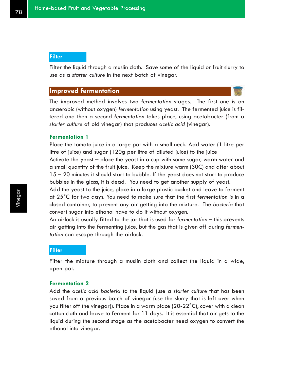### **Filter**

Filter the liquid through a muslin cloth. Save some of the liquid or fruit slurry to use as a *starter culture* in the next batch of vinegar.

### **Improved fermentation**

The improved method involves two *fermentation* stages. The first one is an anaerobic (without oxygen) *fermentation* using yeast. The fermented juice is filtered and then a second *fermentation* takes place, using acetobacter (from a *starter culture* of old vinegar) that produces *acetic acid* (vinegar).

#### **Fermentation 1**

Place the tomato juice in a large pot with a small neck. Add water (1 litre per litre of juice) and sugar (120g per litre of diluted juice) to the juice Activate the yeast – place the yeast in a cup with some sugar, warm water and a small quantity of the fruit juice. Keep the mixture warm (30C) and after about 15 – 20 minutes it should start to bubble. If the yeast does not start to produce bubbles in the glass, it is dead. You need to get another supply of yeast.

Add the yeast to the juice, place in a large plastic bucket and leave to ferment at 25°C for two days. You need to make sure that the first *fermentation* is in a closed container, to prevent any air getting into the mixture. The *bacteria* that convert sugar into ethanol have to do it without oxygen.

An airlock is usually fitted to the jar that is used for *fermentation* – this prevents air getting into the fermenting juice, but the gas that is given off during *fermentation* can escape through the airlock.

#### **Filter**

Filter the mixture through a muslin cloth and collect the liquid in a wide, open pot.

#### **Fermentation 2**

Add the *acetic acid bacteria* to the liquid (use a *starter culture* that has been saved from a previous batch of vinegar (use the slurry that is left over when you filter off the vinegar)). Place in a warm place (20-22°C), cover with a clean cotton cloth and leave to ferment for 11 days. It is essential that air gets to the liquid during the second stage as the acetobacter need oxygen to convert the ethanol into vinegar.

Vinegar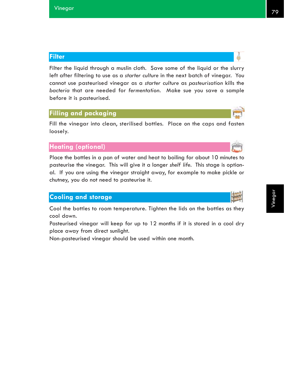# **Filter**

Filter the liquid through a muslin cloth. Save some of the liquid or the slurry left after filtering to use as a *starter culture* in the next batch of vinegar. You cannot use pasteurised vinegar as a *starter culture* as *pasteurisation* kills the *bacteria* that are needed for *fermentation*. Make sue you save a sample before it is pasteurised.

### **Filling and packaging**

Fill the vinegar into clean, sterilised bottles. Place on the caps and fasten loosely.

# **Heating (optional)**

Place the bottles in a pan of water and heat to boiling for about 10 minutes to pasteurise the vinegar. This will give it a longer *shelf life*. This stage is optional. If you are using the vinegar straight away, for example to make pickle or chutney, you do not need to pasteurise it.

# **Cooling and storage**

Cool the bottles to room temperature. Tighten the lids on the bottles as they cool down.

Pasteurised vinegar will keep for up to 12 months if it is stored in a cool dry place away from direct sunlight.

Non-pasteurised vinegar should be used within one month.

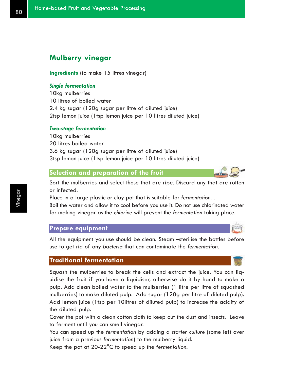# **Mulberry vinegar**

**Ingredients** (to make 15 litres vinegar)

### *Single fermentation*

10kg mulberries 10 litres of boiled water 2.4 kg sugar (120g sugar per litre of diluted juice) 2tsp lemon juice (1tsp lemon juice per 10 litres diluted juice)

### *Two-stage fermentation*

10kg mulberries 20 litres boiled water 3.6 kg sugar (120g sugar per litre of diluted juice) 3tsp lemon juice (1tsp lemon juice per 10 litres diluted juice)

### **Selection and preparation of the fruit**

Sort the mulberries and select those that are ripe. Discard any that are rotten or infected.

Place in a large plastic or clay pot that is suitable for *fermentation*. .

Boil the water and allow it to cool before you use it. Do not use chlorinated water for making vinegar as the *chlorine* will prevent the *fermentation* taking place.

### **Prepare equipment**

All the equipment you use should be clean. Steam –sterilise the bottles before use to get rid of any *bacteria* that can contaminate the *fermentation*.

### **Traditional fermentation**

Squash the mulberries to break the cells and extract the juice. You can liquidise the fruit if you have a liquidiser, otherwise do it by hand to make a pulp. Add clean boiled water to the mulberries (1 litre per litre of squashed mulberries) to make diluted pulp. Add sugar (120g per litre of diluted pulp). Add lemon juice (1tsp per 10litres of diluted pulp) to increase the acidity of the diluted pulp.

Cover the pot with a clean cotton cloth to keep out the dust and insects. Leave to ferment until you can smell vinegar.

You can speed up the *fermentation* by adding a *starter culture* (some left over juice from a previous *fermentation*) to the mulberry liquid.

Keep the pot at 20-22°C to speed up the *fermentation*.



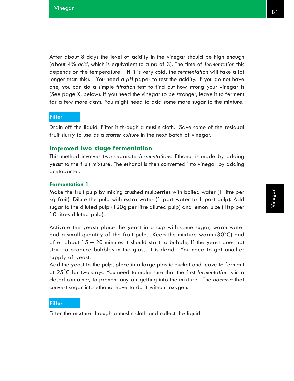After about 8 days the level of acidity in the vinegar should be high enough (about 4% *acid*, which is equivalent to a *pH* of 3). The time of *fermentation* this depends on the temperature – if it is very cold, the *fermentation* will take a lot longer than this). You need a *pH* paper to test the acidity. If you do not have one, you can do a simple *titration* test to find out how strong your vinegar is (See page X, below). If you need the vinegar to be stronger, leave it to ferment for a few more days. You might need to add some more sugar to the mixture.

### **Filter**

Drain off the liquid. Filter it through a muslin cloth. Save some of the residual fruit slurry to use as a *starter culture* in the next batch of vinegar.

### **Improved two stage fermentation**

This method involves two separate *fermentation*s. Ethanol is made by adding yeast to the fruit mixture. The ethanol is then converted into vinegar by adding acetobacter.

#### **Fermentation 1**

Make the fruit pulp by mixing crushed mulberries with boiled water (1 litre per kg fruit). Dilute the pulp with extra water (1 part water to 1 part pulp). Add sugar to the diluted pulp (120g per litre diluted pulp) and lemon juice (1tsp per 10 litres diluted pulp).

Activate the yeast: place the yeast in a cup with some sugar, warm water and a small quantity of the fruit pulp. Keep the mixture warm (30°C) and after about 15 – 20 minutes it should start to bubble, If the yeast does not start to produce bubbles in the glass, it is dead. You need to get another supply of yeast.

Add the yeast to the pulp, place in a large plastic bucket and leave to ferment at 25°C for two days. You need to make sure that the first *fermentation* is in a closed container, to prevent any air getting into the mixture. The *bacteria* that convert sugar into ethanol have to do it without oxygen.

### **Filter**

Filter the mixture through a muslin cloth and collect the liquid.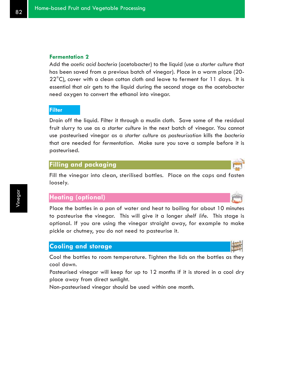### **Fermentation 2**

Add the *acetic acid bacteria* (acetobacter) to the liquid (use a *starter culture* that has been saved from a previous batch of vinegar). Place in a warm place (20-  $22^{\circ}$ C), cover with a clean cotton cloth and leave to ferment for 11 days. It is essential that air gets to the liquid during the second stage as the acetobacter need oxygen to convert the ethanol into vinegar.

#### **Filter**

Drain off the liquid. Filter it through a muslin cloth. Save some of the residual fruit slurry to use as a *starter culture* in the next batch of vinegar. You cannot use pasteurised vinegar as a *starter culture* as *pasteurisation* kills the *bacteria* that are needed for *fermentation*. Make sure you save a sample before it is pasteurised.

### **Filling and packaging**

Fill the vinegar into clean, sterilised bottles. Place on the caps and fasten loosely.

### **Heating (optional)**

Place the bottles in a pan of water and heat to boiling for about 10 minutes to pasteurise the vinegar. This will give it a longer *shelf life*. This stage is optional. If you are using the vinegar straight away, for example to make pickle or chutney, you do not need to pasteurise it.

### **Cooling and storage**

Cool the bottles to room temperature. Tighten the lids on the bottles as they cool down.

Pasteurised vinegar will keep for up to 12 months if it is stored in a cool dry place away from direct sunlight.

Non-pasteurised vinegar should be used within one month.

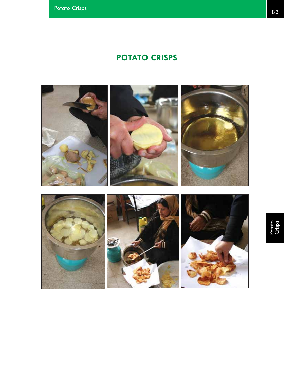# **POTATO CRISPS**

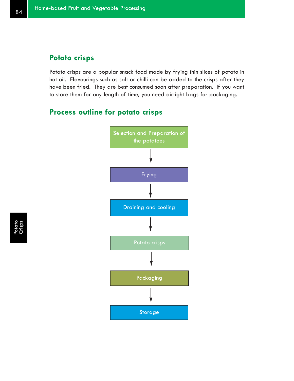# **Potato crisps**

Potato crisps are a popular snack food made by frying thin slices of potato in hot oil. Flavourings such as salt or chilli can be added to the crisps after they have been fried. They are best consumed soon after preparation. If you want to store them for any length of time, you need airtight bags for packaging.

# **Process outline for potato crisps**



Potato<br>Crisps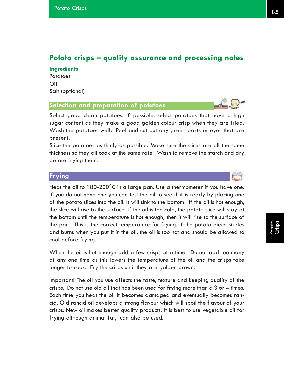# **Potato crisps – quality assurance and processing notes**

### **Ingredients**

**Potatoes** Oil Salt (optional)

### **Selection and preparation of potatoes**

Select good clean potatoes. If possible, select potatoes that have a high sugar content as they make a good golden colour crisp when they are fried. Wash the potatoes well. Peel and cut out any green parts or eyes that are present.

Slice the potatoes as thinly as possible. Make sure the slices are all the same thickness so they all cook at the same rate. Wash to remove the starch and dry before frying them.

### **Frying**

Heat the oil to 180-200°C in a large pan. Use a thermometer if you have one. If you do not have one you can test the oil to see if it is ready by placing one of the potato slices into the oil. It will sink to the bottom. If the oil is hot enough, the slice will rise to the surface. If the oil is too cold, the potato slice will stay at the bottom until the temperature is hot enough; then it will rise to the surface of the pan. This is the correct temperature for frying. If the potato piece sizzles and burns when you put it in the oil, the oil is too hot and should be allowed to cool before frying.

When the oil is hot enough add a few crisps at a time. Do not add too many at any one time as this lowers the temperature of the oil and the crisps take longer to cook. Fry the crisps until they are golden brown.

Important! The oil you use affects the taste, texture and keeping quality of the crisps. Do not use old oil that has been used for frying more than a 3 or 4 times. Each time you heat the oil it becomes damaged and eventually becomes rancid. Old rancid oil develops a strong flavour which will spoil the flavour of your crisps. New oil makes better quality products. It is best to use vegetable oil for frying although animal fat, can also be used.



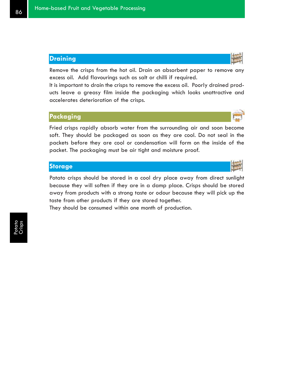# **Draining**

Remove the crisps from the hot oil. Drain on absorbent paper to remove any excess oil. Add flavourings such as salt or chilli if required.

It is important to drain the crisps to remove the excess oil. Poorly drained products leave a greasy film inside the packaging which looks unattractive and accelerates deterioration of the crisps.

# **Packaging**

Fried crisps rapidly absorb water from the surrounding air and soon become soft. They should be packaged as soon as they are cool. Do not seal in the packets before they are cool or condensation will form on the inside of the packet. The packaging must be air tight and moisture proof.

### **Storage**

Potato crisps should be stored in a cool dry place away from direct sunlight because they will soften if they are in a damp place. Crisps should be stored away from products with a strong taste or odour because they will pick up the taste from other products if they are stored together.

They should be consumed within one month of production.



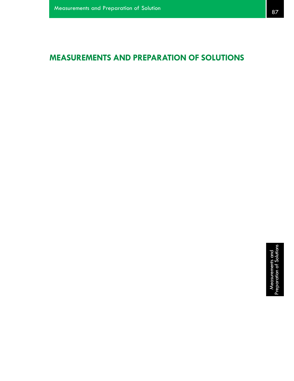# **MEASUREMENTS AND PREPARATION OF SOLUTIONS**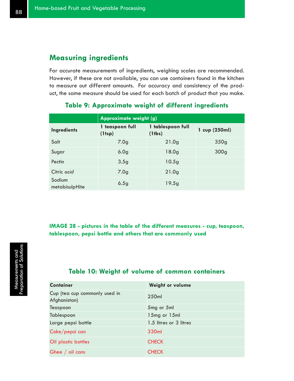# **Measuring ingredients**

For accurate measurements of ingredients, weighing scales are recommended. However, if these are not available, you can use containers found in the kitchen to measure out different amounts. For accuracy and consistency of the product, the same measure should be used for each batch of product that you make.

|                          | Approximate weight (g)          |                                   |                  |  |
|--------------------------|---------------------------------|-----------------------------------|------------------|--|
| <b>Ingredients</b>       | 1 teaspoon full<br>$(1$ tsp $)$ | 1 tablespoon full<br>$(1$ tbs $)$ | 1 cup (250ml)    |  |
| Salt                     | 7.0 <sub>g</sub>                | 21.0 <sub>g</sub>                 | 350 <sub>g</sub> |  |
| Sugar                    | 6.0 <sub>g</sub>                | 18.0 <sub>g</sub>                 | 300 <sub>g</sub> |  |
| Pectin                   | 3.5 <sub>g</sub>                | 10.5g                             |                  |  |
| Citric acid              | 7.0 <sub>g</sub>                | 21.0 <sub>g</sub>                 |                  |  |
| Sodium<br>metabisulpHite | 6.5g                            | 19.5g                             |                  |  |

# **Table 9: Approximate weight of different ingredients**

**IMAGE 28 - pictures in the table of the different measures - cup, teaspoon, tablespoon, pepsi bottle and others that are commonly used**

# **Table 10: Weight of volume of common containers**

| <b>Container</b>                              | Weight or volume       |
|-----------------------------------------------|------------------------|
| Cup (tea cup commonly used in<br>Afghanistan) | 250ml                  |
| Teaspoon                                      | 5mg or 5ml             |
| Tablespoon                                    | 15mg or 15ml           |
| Large pepsi bottle                            | 1.5 litres or 3 litres |
| Coke/pepsi can                                | 330ml                  |
| Oil plastic bottles                           | <b>CHECK</b>           |
| Ghee $/$ oil cans                             | <b>CHECK</b>           |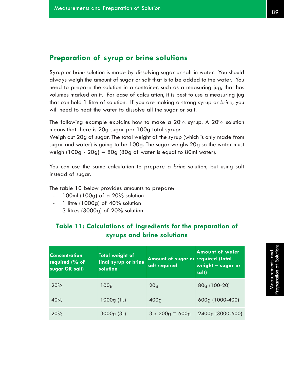# **Preparation of syrup or brine solutions**

Syrup or *brine* solution is made by dissolving sugar or salt in water. You should always weigh the amount of sugar or salt that is to be added to the water. You need to prepare the solution in a container, such as a measuring jug, that has volumes marked on it. For ease of calculation, it is best to use a measuring jug that can hold 1 litre of solution. If you are making a strong syrup or *brine*, you will need to heat the water to dissolve all the sugar or salt.

The following example explains how to make a 20% syrup. A 20% solution means that there is 20g sugar per 100g total syrup:

Weigh out 20g of sugar. The total weight of the syrup (which is only made from sugar and water) is going to be 100g. The sugar weighs 20g so the water must weigh (100g - 20g) = 80g (80g of water is equal to 80ml water).

You can use the same calculation to prepare a *brine* solution, but using salt instead of sugar.

The table 10 below provides amounts to prepare:

- 100ml (100g) of a 20% solution
- 1 litre (1000g) of  $40\%$  solution
- 3 litres (3000g) of 20% solution

# **Table 11: Calculations of ingredients for the preparation of syrups and brine solutions**

| Concentration<br>required $(\%$ of<br>sugar OR salt) | <b>Total weight of</b><br>final syrup or brine<br>solution | Amount of sugar or required (total<br>salt required | <b>Amount of water</b><br><u> weight – sugar or</u><br>salt) |  |
|------------------------------------------------------|------------------------------------------------------------|-----------------------------------------------------|--------------------------------------------------------------|--|
| 20%                                                  | 100 <sub>g</sub>                                           | 20 <sub>q</sub>                                     | 80g (100-20)                                                 |  |
| 40%                                                  | 1000g(1L)                                                  | 400 <sub>g</sub>                                    | 600g (1000-400)                                              |  |
| 20%                                                  | 3000g(3L)                                                  | $3 \times 200$ g = 600g                             | 2400g (3000-600)                                             |  |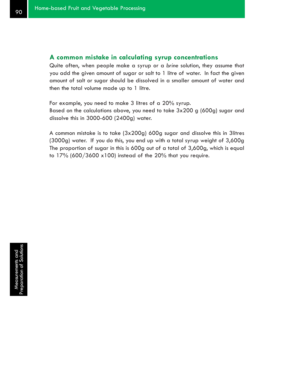### **A common mistake in calculating syrup concentrations**

Quite often, when people make a syrup or a *brine* solution, they assume that you add the given amount of sugar or salt to 1 litre of water. In fact the given amount of salt or sugar should be dissolved in a smaller amount of water and then the total volume made up to 1 litre.

For example, you need to make 3 litres of a 20% syrup. Based on the calculations above, you need to take 3x200 g (600g) sugar and dissolve this in 3000-600 (2400g) water.

A common mistake is to take (3x200g) 600g sugar and dissolve this in 3litres (3000g) water. If you do this, you end up with a total syrup weight of 3,600g The proportion of sugar in this is 600g out of a total of 3,600g, which is equal to 17% (600/3600 x100) instead of the 20% that you require.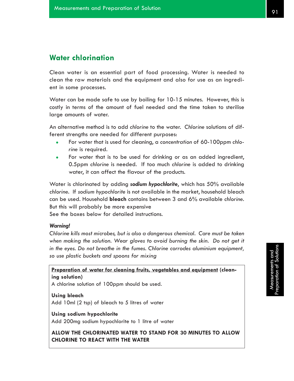# **Water chlorination**

Clean water is an essential part of food processing. Water is needed to clean the raw materials and the equipment and also for use as an ingredient in some processes.

Water can be made safe to use by boiling for 10-15 minutes. However, this is costly in terms of the amount of fuel needed and the time taken to sterilise large amounts of water.

An alternative method is to add *chlorine* to the water. *Chlorine* solutions of different strengths are needed for different purposes:

- <sup>z</sup> For water that is used for cleaning, a *concentration* of 60-100ppm *chlorine* is required.
- For water that is to be used for drinking or as an added ingredient, 0.5ppm *chlorine* is needed. If too much *chlorine* is added to drinking water, it can affect the flavour of the products.

Water is chlorinated by adding *sodium hypochlorite*, which has 50% available *chlorine*. If *sodium hypochlorite* is not available in the market, household bleach can be used. Household **bleach** contains between 3 and 6% available *chlorine*. But this will probably be more expensive

See the boxes below for detailed instructions.

### *Warning!*

*Chlorine kills most microbes, but is also a dangerous chemical. Care must be taken when making the solution. Wear gloves to avoid burning the skin. Do not get it in the eyes. Do not breathe in the fumes. Chlorine corrodes aluminium equipment, so use plastic buckets and spoons for mixing*

**Preparation of water for cleaning fruits, vegetables and equipment (cleaning solution)**

A chlorine solution of 100ppm should be used.

**Using bleach** Add 10ml (2 tsp) of bleach to 5 litres of water

**Using sodium hypochlorite** Add 200mg sodium hypochlorite to 1 litre of water

**ALLOW THE CHLORINATED WATER TO STAND FOR 30 MINUTES TO ALLOW CHLORINE TO REACT WITH THE WATER**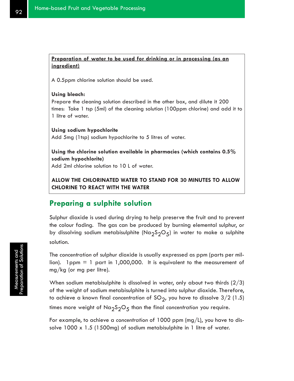### **Preparation of water to be used for drinking or in processing (as an ingredient)**

A 0.5ppm chlorine solution should be used.

#### **Using bleach:**

Prepare the cleaning solution described in the other box, and dilute it 200 times: Take 1 tsp (5ml) of the cleaning solution (100ppm chlorine) and add it to 1 litre of water.

**Using sodium hypochlorite** Add 5mg (1tsp) sodium hypochlorite to 5 litres of water.

**Using the chlorine solution available in pharmacies (which contains 0.5% sodium hypochlorite)** Add 2ml chlorine solution to 10 L of water.

**ALLOW THE CHLORINATED WATER TO STAND FOR 30 MINUTES TO ALLOW CHLORINE TO REACT WITH THE WATER**

# **Preparing a sulphite solution**

Sulphur dioxide is used during drying to help preserve the fruit and to prevent the colour fading. The gas can be produced by burning elemental sulphur, or by dissolving sodium metabisulphite (Na<sub>2</sub>S<sub>2</sub>O<sub>5</sub>) in water to make a sulphite solution.

The *concentration* of sulphur dioxide is usually expressed as ppm (parts per million). 1 ppm  $= 1$  part in 1,000,000. It is equivalent to the measurement of mg/kg (or mg per litre).

When sodium metabisulphite is dissolved in water, only about two thirds (2/3) of the weight of sodium metabisulphite is turned into sulphur dioxide. Therefore, to achieve a known final concentration of SO<sub>2</sub>, you have to dissolve 3/2 (1.5) times more weight of Na<sub>2</sub>S<sub>2</sub>O<sub>5</sub> than the final concentration you require.

For example, to achieve a *concentration* of 1000 ppm (mg/L), you have to dissolve 1000 x 1.5 (1500mg) of sodium metabisulphite in 1 litre of water.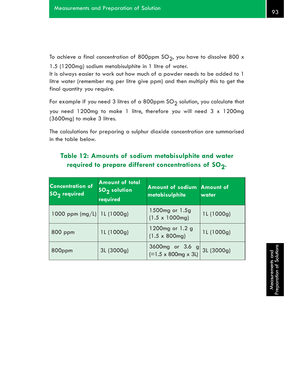To achieve a final concentration of 800ppm SO<sub>2</sub>, you have to dissolve 800 x 1.5 (1200mg) sodium metabisulphite in 1 litre of water.

It is always easier to work out how much of a powder needs to be added to 1 litre water (remember mg per litre give ppm) and then multiply this to get the final quantity you require.

For example if you need 3 litres of a 800ppm  $SO_2$  solution, you calculate that you need 1200mg to make 1 litre, therefore you will need 3 x 1200mg (3600mg) to make 3 litres.

The calculations for preparing a sulphur dioxide *concentration* are summarised in the table below.

| <b>Concentration of</b><br>$SO2$ required | <b>Amount of total</b><br><b>SO<sub>2</sub></b> solution<br>required | Amount of sodium Amount of<br>metabisulphite          | water      |  |
|-------------------------------------------|----------------------------------------------------------------------|-------------------------------------------------------|------------|--|
| 1000 ppm $(mg/L)$ 1L (1000g)              |                                                                      | 1500mg or 1.5g<br>$(1.5 \times 1000$ mg)              | 1L (1000g) |  |
| 800 ppm                                   | 1L (1000g)                                                           | 1200mg or 1.2 g<br>$(1.5 \times 800$ mg)              | 1L (1000g) |  |
| 800ppm                                    | 3L (3000g)                                                           | 3600mg or 3.6 g<br>$(=1.5 \times 800$ mg $\times 31)$ | 3L (3000g) |  |

# **Table 12: Amounts of sodium metabisulphite and water** required to prepare different concentrations of SO<sub>2</sub>.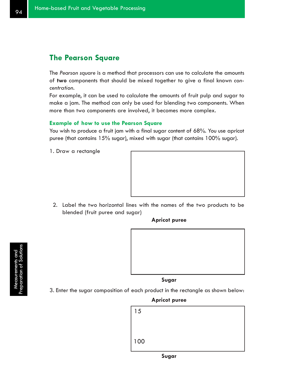# **The Pearson Square**

The *Pearson square* is a method that processors can use to calculate the amounts of **two** components that should be mixed together to give a final known *concentration*.

For example, it can be used to calculate the amounts of fruit pulp and sugar to make a jam. The method can only be used for blending two components. When more than two components are involved, it becomes more complex.

#### **Example of how to use the Pearson Square**

You wish to produce a fruit jam with a final sugar content of 68%. You use apricot puree (that contains 15% sugar), mixed with sugar (that contains 100% sugar).

1. Draw a rectangle



2. Label the two horizontal lines with the names of the two products to be blended (fruit puree and sugar)

**Apricot puree**



**Sugar**

3. Enter the sugar composition of each product in the rectangle as shown below:

### **Apricot puree**

| 15    |  |  |  |
|-------|--|--|--|
|       |  |  |  |
|       |  |  |  |
| $100$ |  |  |  |

Measurements and<br>Preparation of Solutions

Measurements and<br>reparation of Solutions

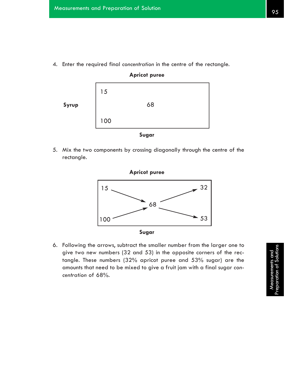4. Enter the required final *concentration* in the centre of the rectangle.



5. Mix the two components by crossing diagonally through the centre of the rectangle.



6. Following the arrows, subtract the smaller number from the larger one to give two new numbers (32 and 53) in the opposite corners of the rectangle. These numbers (32% apricot puree and 53% sugar) are the amounts that need to be mixed to give a fruit jam with a final sugar *concentration* of 68%.

Measurements and<br>Preparation of Solutions Measurements and<br>reparation of Solution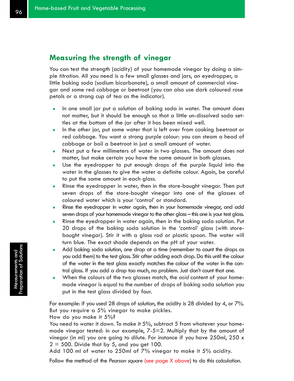# **Measuring the strength of vinegar**

You can test the strength (acidity) of your homemade vinegar by doing a simple *titration*. All you need is a few small glasses and jars, an eyedropper, a little baking soda (sodium bicarbonate), a small amount of commercial vinegar and some red cabbage or beetroot (you can also use dark coloured rose petals or a strong cup of tea as the indicator).

- In one small jar put a solution of baking soda in water. The amount does not matter, but it should be enough so that a little un-dissolved soda settles at the bottom of the jar after it has been mixed well.
- In the other jar, put some water that is left over from cooking beetroot or red cabbage. You want a strong purple colour: you can steam a head of cabbage or boil a beetroot in just a small amount of water.
- Next put a few millimeters of water in two glasses. The amount does not matter, but make certain you have the same amount in both glasses.
- Use the eyedropper to put enough drops of the purple liquid into the water in the glasses to give the water a definite colour. Again, be careful to put the same amount in each glass.
- Rinse the eyedropper in water, then in the store-bought vinegar. Then put seven drops of the store-bought vinegar into one of the glasses of coloured water which is your 'control' or standard.
- Rinse the eyedropper in water again, then in your homemade vinegar, and add seven drops of your homemade vinegar to the other glass – this one is your test glass.
- Rinse the eyedropper in water again, then in the baking soda solution. Put 20 drops of the baking soda solution in the 'control' glass (with storebought vinegar). Stir it with a glass rod or plastic spoon. The water will turn blue. The exact shade depends on the pH of your water.
- Add baking soda solution, one drop at a time (remember to count the drops as you add them) to the test glass. Stir after adding each drop. Do this until the colour of the water in the test glass exactly matches the colour of the water in the control glass. If you add a drop too much, no problem. Just don't count that one.
- When the colours of the two glasses match, the *acid* content of your homemade vinegar is equal to the number of drops of baking soda solution you put in the test glass divided by four.

For example: if you used 28 drops of solution, the acidity is 28 divided by 4, or 7%. But you require a 5% vinegar to make pickles.

How do you make it 5%?

You need to water it down. To make it 5%, subtract 5 from whatever your homemade vinegar tested: in our example, 7-5=2. Multiply that by the amount of vinegar (in ml) you are going to dilute. For instance if you have 250ml, 250 x  $2 = 500$ . Divide that by 5, and you get 100.

Add 100 ml of water to 250ml of 7% vinegar to make it 5% acidity.

Follow the method of the *Pearson square* (see page X above) to do this calculation.